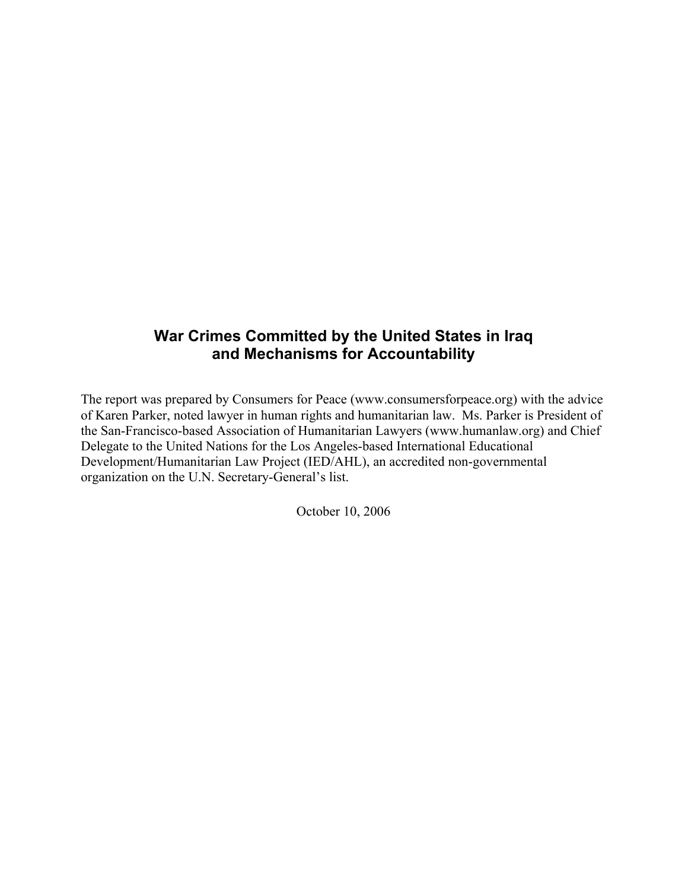# **War Crimes Committed by the United States in Iraq and Mechanisms for Accountability**

The report was prepared by Consumers for Peace (www.consumersforpeace.org) with the advice of Karen Parker, noted lawyer in human rights and humanitarian law. Ms. Parker is President of the San-Francisco-based Association of Humanitarian Lawyers (www.humanlaw.org) and Chief Delegate to the United Nations for the Los Angeles-based International Educational Development/Humanitarian Law Project (IED/AHL), an accredited non-governmental organization on the U.N. Secretary-General's list.

October 10, 2006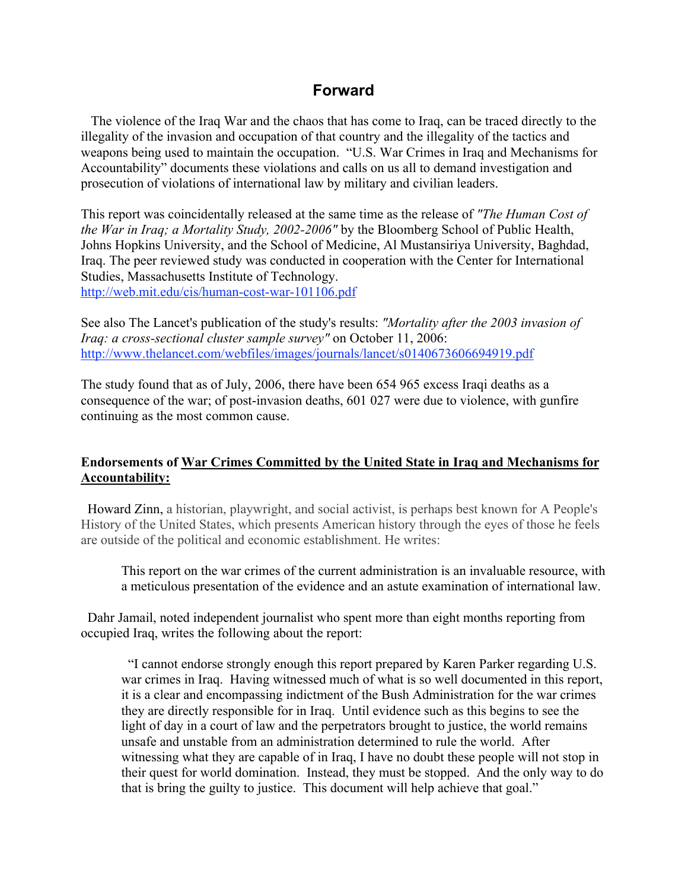# **Forward**

 The violence of the Iraq War and the chaos that has come to Iraq, can be traced directly to the illegality of the invasion and occupation of that country and the illegality of the tactics and weapons being used to maintain the occupation. "U.S. War Crimes in Iraq and Mechanisms for Accountability" documents these violations and calls on us all to demand investigation and prosecution of violations of international law by military and civilian leaders.

This report was coincidentally released at the same time as the release of *"The Human Cost of the War in Iraq; a Mortality Study, 2002-2006"* by the Bloomberg School of Public Health, Johns Hopkins University, and the School of Medicine, Al Mustansiriya University, Baghdad, Iraq. The peer reviewed study was conducted in cooperation with the Center for International Studies, Massachusetts Institute of Technology. <http://web.mit.edu/cis/human-cost-war-101106.pdf>

See also The Lancet's publication of the study's results: *"Mortality after the 2003 invasion of Iraq: a cross-sectional cluster sample survey"* on October 11, 2006: <http://www.thelancet.com/webfiles/images/journals/lancet/s0140673606694919.pdf>

The study found that as of July, 2006, there have been 654 965 excess Iraqi deaths as a consequence of the war; of post-invasion deaths, 601 027 were due to violence, with gunfire continuing as the most common cause.

#### Endorsements of War Crimes Committed by the United State in Iraq and Mechanisms for Accountability:

 Howard Zinn, a historian, playwright, and social activist, is perhaps best known for A People's History of the United States, which presents American history through the eyes of those he feels are outside of the political and economic establishment. He writes:

This report on the war crimes of the current administration is an invaluable resource, with a meticulous presentation of the evidence and an astute examination of international law.

 Dahr Jamail, noted independent journalist who spent more than eight months reporting from occupied Iraq, writes the following about the report:

 "I cannot endorse strongly enough this report prepared by Karen Parker regarding U.S. war crimes in Iraq. Having witnessed much of what is so well documented in this report, it is a clear and encompassing indictment of the Bush Administration for the war crimes they are directly responsible for in Iraq. Until evidence such as this begins to see the light of day in a court of law and the perpetrators brought to justice, the world remains unsafe and unstable from an administration determined to rule the world. After witnessing what they are capable of in Iraq, I have no doubt these people will not stop in their quest for world domination. Instead, they must be stopped. And the only way to do that is bring the guilty to justice. This document will help achieve that goal."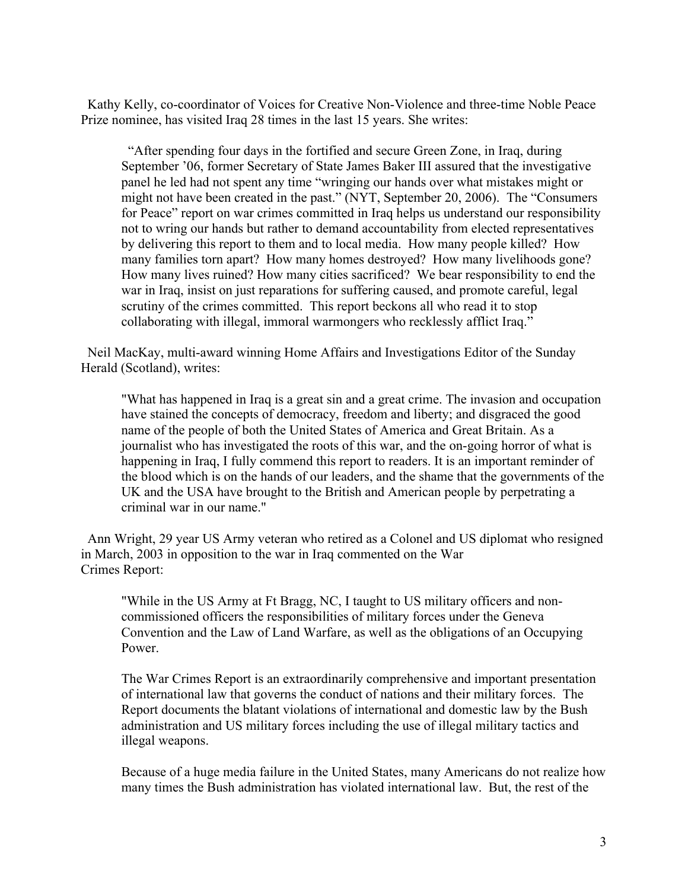Kathy Kelly, co-coordinator of Voices for Creative Non-Violence and three-time Noble Peace Prize nominee, has visited Iraq 28 times in the last 15 years. She writes:

 "After spending four days in the fortified and secure Green Zone, in Iraq, during September '06, former Secretary of State James Baker III assured that the investigative panel he led had not spent any time "wringing our hands over what mistakes might or might not have been created in the past." (NYT, September 20, 2006). The "Consumers for Peace" report on war crimes committed in Iraq helps us understand our responsibility not to wring our hands but rather to demand accountability from elected representatives by delivering this report to them and to local media. How many people killed? How many families torn apart? How many homes destroyed? How many livelihoods gone? How many lives ruined? How many cities sacrificed? We bear responsibility to end the war in Iraq, insist on just reparations for suffering caused, and promote careful, legal scrutiny of the crimes committed. This report beckons all who read it to stop collaborating with illegal, immoral warmongers who recklessly afflict Iraq."

 Neil MacKay, multi-award winning Home Affairs and Investigations Editor of the Sunday Herald (Scotland), writes:

"What has happened in Iraq is a great sin and a great crime. The invasion and occupation have stained the concepts of democracy, freedom and liberty; and disgraced the good name of the people of both the United States of America and Great Britain. As a journalist who has investigated the roots of this war, and the on-going horror of what is happening in Iraq, I fully commend this report to readers. It is an important reminder of the blood which is on the hands of our leaders, and the shame that the governments of the UK and the USA have brought to the British and American people by perpetrating a criminal war in our name."

 Ann Wright, 29 year US Army veteran who retired as a Colonel and US diplomat who resigned in March, 2003 in opposition to the war in Iraq commented on the War Crimes Report:

"While in the US Army at Ft Bragg, NC, I taught to US military officers and noncommissioned officers the responsibilities of military forces under the Geneva Convention and the Law of Land Warfare, as well as the obligations of an Occupying Power.

The War Crimes Report is an extraordinarily comprehensive and important presentation of international law that governs the conduct of nations and their military forces. The Report documents the blatant violations of international and domestic law by the Bush administration and US military forces including the use of illegal military tactics and illegal weapons.

Because of a huge media failure in the United States, many Americans do not realize how many times the Bush administration has violated international law. But, the rest of the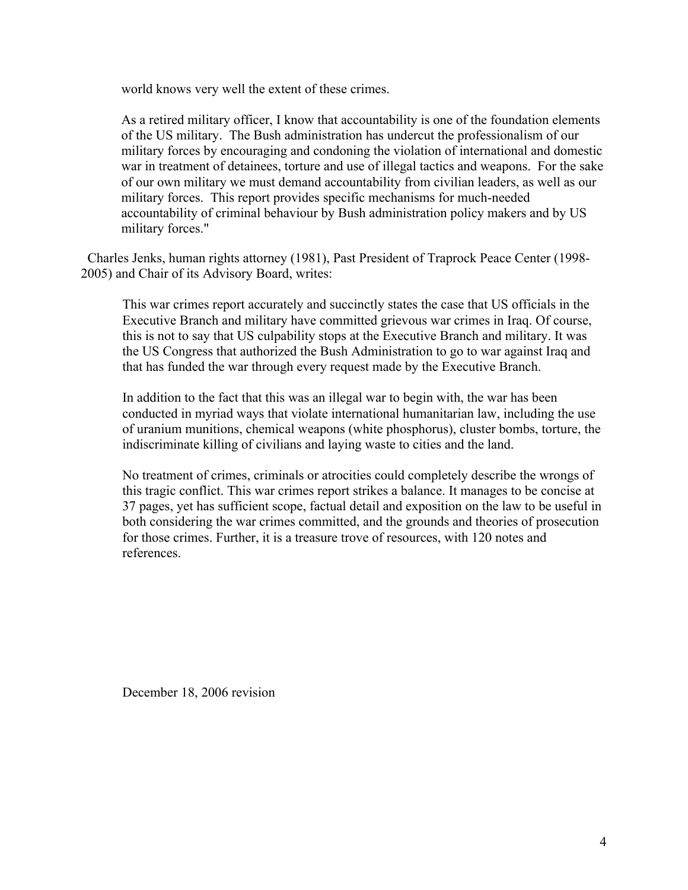world knows very well the extent of these crimes.

As a retired military officer, I know that accountability is one of the foundation elements of the US military. The Bush administration has undercut the professionalism of our military forces by encouraging and condoning the violation of international and domestic war in treatment of detainees, torture and use of illegal tactics and weapons. For the sake of our own military we must demand accountability from civilian leaders, as well as our military forces. This report provides specific mechanisms for much-needed accountability of criminal behaviour by Bush administration policy makers and by US military forces."

 Charles Jenks, human rights attorney (1981), Past President of Traprock Peace Center (1998- 2005) and Chair of its Advisory Board, writes:

This war crimes report accurately and succinctly states the case that US officials in the Executive Branch and military have committed grievous war crimes in Iraq. Of course, this is not to say that US culpability stops at the Executive Branch and military. It was the US Congress that authorized the Bush Administration to go to war against Iraq and that has funded the war through every request made by the Executive Branch.

In addition to the fact that this was an illegal war to begin with, the war has been conducted in myriad ways that violate international humanitarian law, including the use of uranium munitions, chemical weapons (white phosphorus), cluster bombs, torture, the indiscriminate killing of civilians and laying waste to cities and the land.

No treatment of crimes, criminals or atrocities could completely describe the wrongs of this tragic conflict. This war crimes report strikes a balance. It manages to be concise at 37 pages, yet has sufficient scope, factual detail and exposition on the law to be useful in both considering the war crimes committed, and the grounds and theories of prosecution for those crimes. Further, it is a treasure trove of resources, with 120 notes and references.

December 18, 2006 revision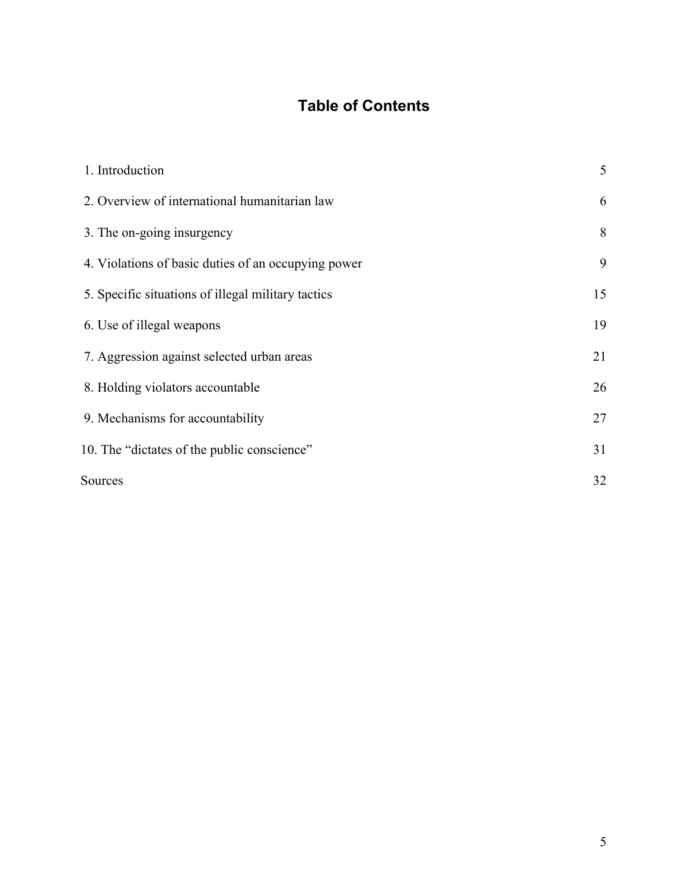# **Table of Contents**

| 1. Introduction                                     | 5  |
|-----------------------------------------------------|----|
| 2. Overview of international humanitarian law       | 6  |
| 3. The on-going insurgency                          | 8  |
| 4. Violations of basic duties of an occupying power | 9  |
| 5. Specific situations of illegal military tactics  | 15 |
| 6. Use of illegal weapons                           | 19 |
| 7. Aggression against selected urban areas          | 21 |
| 8. Holding violators accountable                    | 26 |
| 9. Mechanisms for accountability                    | 27 |
| 10. The "dictates of the public conscience"         | 31 |
| Sources                                             | 32 |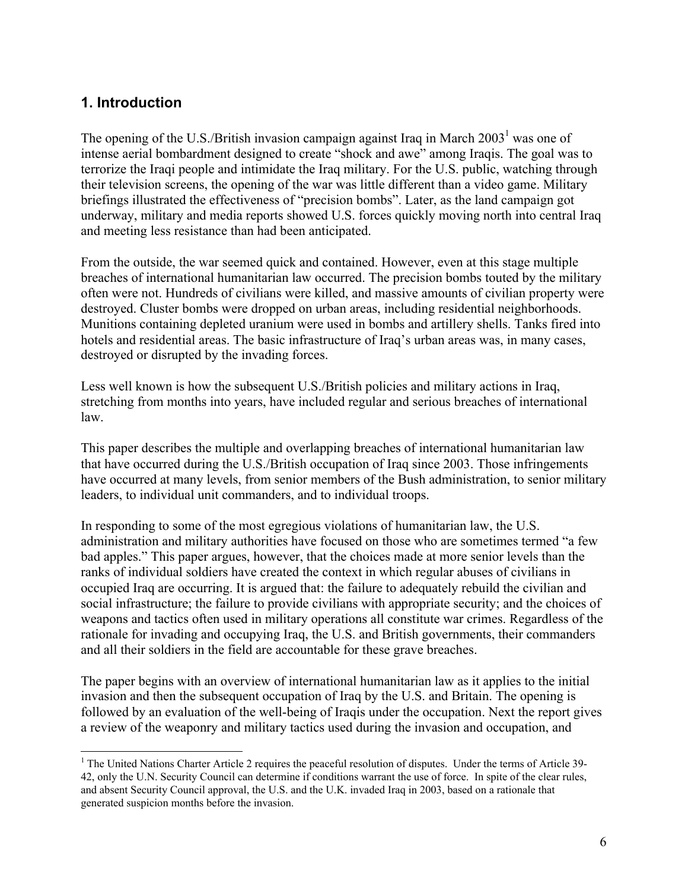### **1. Introduction**

The opening of the U.S./British invasion campaign against Iraq in March  $2003<sup>1</sup>$  was one of intense aerial bombardment designed to create "shock and awe" among Iraqis. The goal was to terrorize the Iraqi people and intimidate the Iraq military. For the U.S. public, watching through their television screens, the opening of the war was little different than a video game. Military briefings illustrated the effectiveness of "precision bombs". Later, as the land campaign got underway, military and media reports showed U.S. forces quickly moving north into central Iraq and meeting less resistance than had been anticipated.

From the outside, the war seemed quick and contained. However, even at this stage multiple breaches of international humanitarian law occurred. The precision bombs touted by the military often were not. Hundreds of civilians were killed, and massive amounts of civilian property were destroyed. Cluster bombs were dropped on urban areas, including residential neighborhoods. Munitions containing depleted uranium were used in bombs and artillery shells. Tanks fired into hotels and residential areas. The basic infrastructure of Iraq's urban areas was, in many cases, destroyed or disrupted by the invading forces.

Less well known is how the subsequent U.S./British policies and military actions in Iraq, stretching from months into years, have included regular and serious breaches of international law.

This paper describes the multiple and overlapping breaches of international humanitarian law that have occurred during the U.S./British occupation of Iraq since 2003. Those infringements have occurred at many levels, from senior members of the Bush administration, to senior military leaders, to individual unit commanders, and to individual troops.

In responding to some of the most egregious violations of humanitarian law, the U.S. administration and military authorities have focused on those who are sometimes termed "a few bad apples." This paper argues, however, that the choices made at more senior levels than the ranks of individual soldiers have created the context in which regular abuses of civilians in occupied Iraq are occurring. It is argued that: the failure to adequately rebuild the civilian and social infrastructure; the failure to provide civilians with appropriate security; and the choices of weapons and tactics often used in military operations all constitute war crimes. Regardless of the rationale for invading and occupying Iraq, the U.S. and British governments, their commanders and all their soldiers in the field are accountable for these grave breaches.

The paper begins with an overview of international humanitarian law as it applies to the initial invasion and then the subsequent occupation of Iraq by the U.S. and Britain. The opening is followed by an evaluation of the well-being of Iraqis under the occupation. Next the report gives a review of the weaponry and military tactics used during the invasion and occupation, and

 $\frac{1}{1}$  $<sup>1</sup>$  The United Nations Charter Article 2 requires the peaceful resolution of disputes. Under the terms of Article 39-</sup> 42, only the U.N. Security Council can determine if conditions warrant the use of force. In spite of the clear rules, and absent Security Council approval, the U.S. and the U.K. invaded Iraq in 2003, based on a rationale that generated suspicion months before the invasion.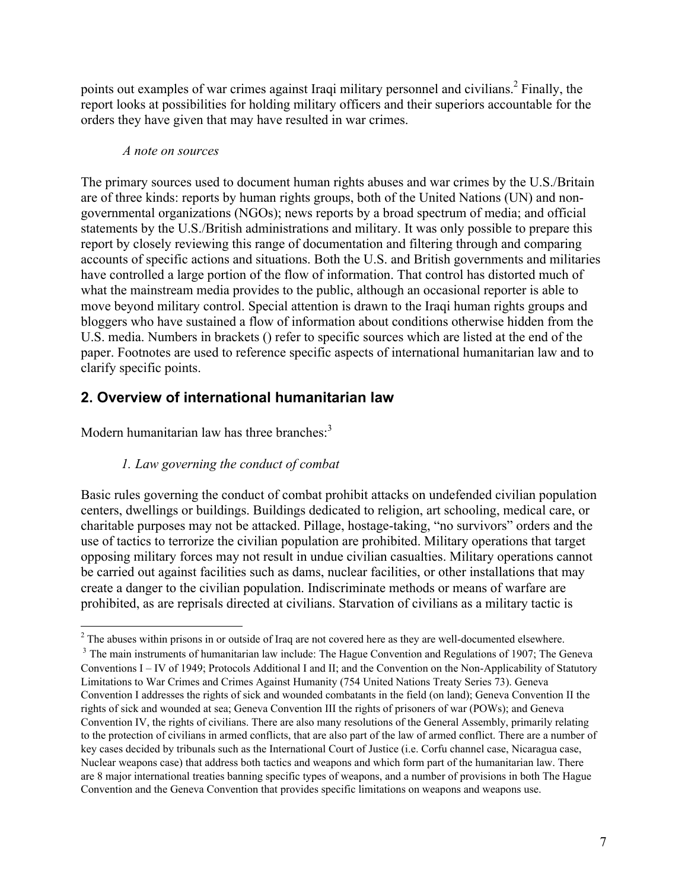points out examples of war crimes against Iraqi military personnel and civilians.<sup>2</sup> Finally, the report looks at possibilities for holding military officers and their superiors accountable for the orders they have given that may have resulted in war crimes.

#### *A note on sources*

The primary sources used to document human rights abuses and war crimes by the U.S./Britain are of three kinds: reports by human rights groups, both of the United Nations (UN) and nongovernmental organizations (NGOs); news reports by a broad spectrum of media; and official statements by the U.S./British administrations and military. It was only possible to prepare this report by closely reviewing this range of documentation and filtering through and comparing accounts of specific actions and situations. Both the U.S. and British governments and militaries have controlled a large portion of the flow of information. That control has distorted much of what the mainstream media provides to the public, although an occasional reporter is able to move beyond military control. Special attention is drawn to the Iraqi human rights groups and bloggers who have sustained a flow of information about conditions otherwise hidden from the U.S. media. Numbers in brackets () refer to specific sources which are listed at the end of the paper. Footnotes are used to reference specific aspects of international humanitarian law and to clarify specific points.

# **2. Overview of international humanitarian law**

Modern humanitarian law has three branches:<sup>3</sup>

### *1. Law governing the conduct of combat*

Basic rules governing the conduct of combat prohibit attacks on undefended civilian population centers, dwellings or buildings. Buildings dedicated to religion, art schooling, medical care, or charitable purposes may not be attacked. Pillage, hostage-taking, "no survivors" orders and the use of tactics to terrorize the civilian population are prohibited. Military operations that target opposing military forces may not result in undue civilian casualties. Military operations cannot be carried out against facilities such as dams, nuclear facilities, or other installations that may create a danger to the civilian population. Indiscriminate methods or means of warfare are prohibited, as are reprisals directed at civilians. Starvation of civilians as a military tactic is

 $\frac{1}{2}$ <sup>2</sup> The abuses within prisons in or outside of Iraq are not covered here as they are well-documented elsewhere.

<sup>&</sup>lt;sup>3</sup> The main instruments of humanitarian law include: The Hague Convention and Regulations of 1907; The Geneva Conventions I – IV of 1949; Protocols Additional I and II; and the Convention on the Non-Applicability of Statutory Limitations to War Crimes and Crimes Against Humanity (754 United Nations Treaty Series 73). Geneva Convention I addresses the rights of sick and wounded combatants in the field (on land); Geneva Convention II the rights of sick and wounded at sea; Geneva Convention III the rights of prisoners of war (POWs); and Geneva Convention IV, the rights of civilians. There are also many resolutions of the General Assembly, primarily relating to the protection of civilians in armed conflicts, that are also part of the law of armed conflict. There are a number of key cases decided by tribunals such as the International Court of Justice (i.e. Corfu channel case, Nicaragua case, Nuclear weapons case) that address both tactics and weapons and which form part of the humanitarian law. There are 8 major international treaties banning specific types of weapons, and a number of provisions in both The Hague Convention and the Geneva Convention that provides specific limitations on weapons and weapons use.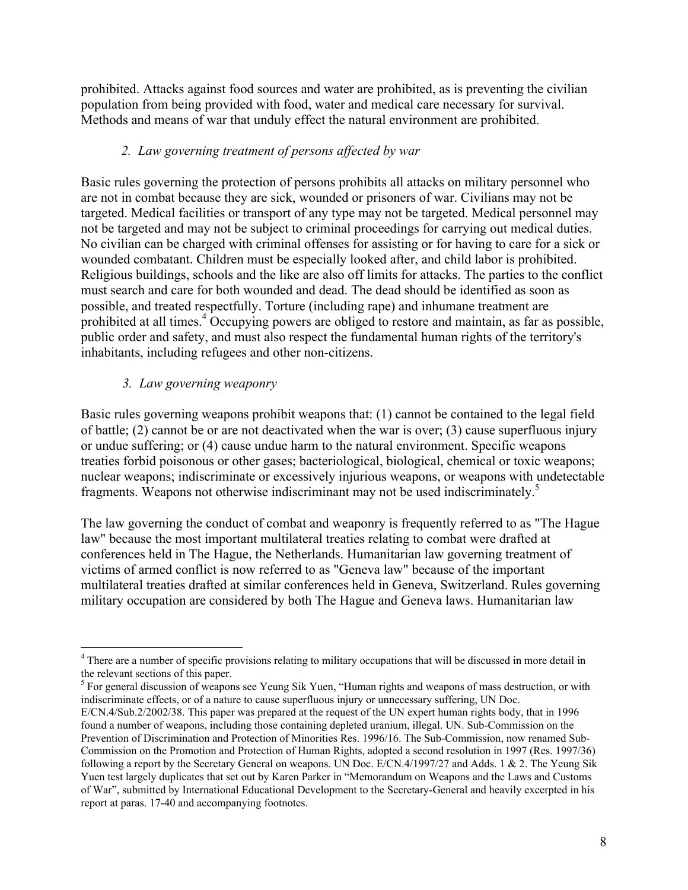prohibited. Attacks against food sources and water are prohibited, as is preventing the civilian population from being provided with food, water and medical care necessary for survival. Methods and means of war that unduly effect the natural environment are prohibited.

### *2. Law governing treatment of persons affected by war*

Basic rules governing the protection of persons prohibits all attacks on military personnel who are not in combat because they are sick, wounded or prisoners of war. Civilians may not be targeted. Medical facilities or transport of any type may not be targeted. Medical personnel may not be targeted and may not be subject to criminal proceedings for carrying out medical duties. No civilian can be charged with criminal offenses for assisting or for having to care for a sick or wounded combatant. Children must be especially looked after, and child labor is prohibited. Religious buildings, schools and the like are also off limits for attacks. The parties to the conflict must search and care for both wounded and dead. The dead should be identified as soon as possible, and treated respectfully. Torture (including rape) and inhumane treatment are prohibited at all times.<sup>4</sup> Occupying powers are obliged to restore and maintain, as far as possible, public order and safety, and must also respect the fundamental human rights of the territory's inhabitants, including refugees and other non-citizens.

### *3. Law governing weaponry*

Basic rules governing weapons prohibit weapons that: (1) cannot be contained to the legal field of battle; (2) cannot be or are not deactivated when the war is over; (3) cause superfluous injury or undue suffering; or (4) cause undue harm to the natural environment. Specific weapons treaties forbid poisonous or other gases; bacteriological, biological, chemical or toxic weapons; nuclear weapons; indiscriminate or excessively injurious weapons, or weapons with undetectable fragments. Weapons not otherwise indiscriminant may not be used indiscriminately.5

The law governing the conduct of combat and weaponry is frequently referred to as "The Hague law" because the most important multilateral treaties relating to combat were drafted at conferences held in The Hague, the Netherlands. Humanitarian law governing treatment of victims of armed conflict is now referred to as "Geneva law" because of the important multilateral treaties drafted at similar conferences held in Geneva, Switzerland. Rules governing military occupation are considered by both The Hague and Geneva laws. Humanitarian law

<sup>5</sup> For general discussion of weapons see Yeung Sik Yuen, "Human rights and weapons of mass destruction, or with indiscriminate effects, or of a nature to cause superfluous injury or unnecessary suffering, UN Doc.

 $\frac{1}{4}$ <sup>4</sup> There are a number of specific provisions relating to military occupations that will be discussed in more detail in the relevant sections of this paper.

E/CN.4/Sub.2/2002/38. This paper was prepared at the request of the UN expert human rights body, that in 1996 found a number of weapons, including those containing depleted uranium, illegal. UN. Sub-Commission on the Prevention of Discrimination and Protection of Minorities Res. 1996/16. The Sub-Commission, now renamed Sub-Commission on the Promotion and Protection of Human Rights, adopted a second resolution in 1997 (Res. 1997/36) following a report by the Secretary General on weapons. UN Doc. E/CN.4/1997/27 and Adds. 1 & 2. The Yeung Sik Yuen test largely duplicates that set out by Karen Parker in "Memorandum on Weapons and the Laws and Customs of War", submitted by International Educational Development to the Secretary-General and heavily excerpted in his report at paras. 17-40 and accompanying footnotes.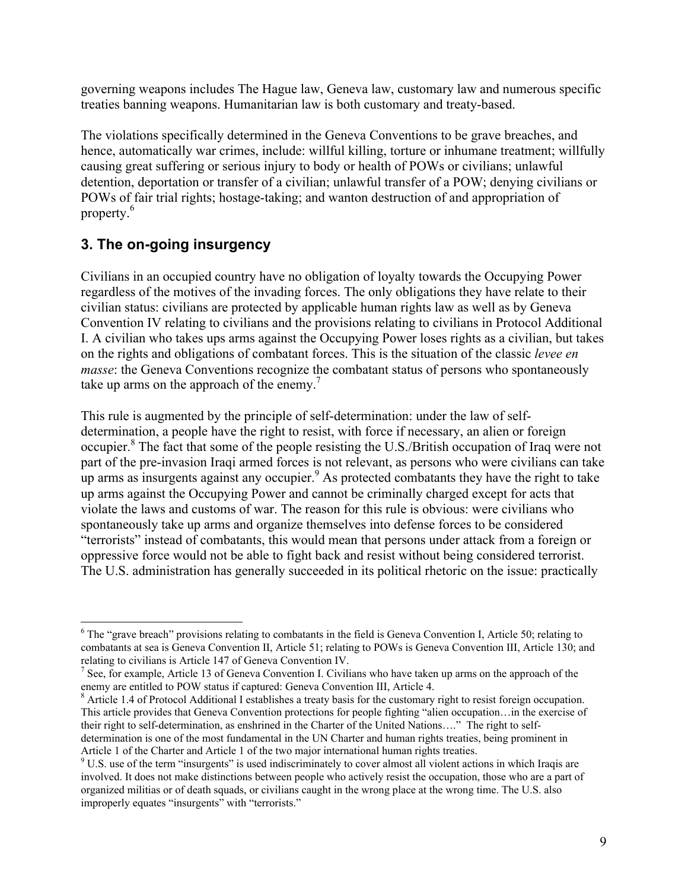governing weapons includes The Hague law, Geneva law, customary law and numerous specific treaties banning weapons. Humanitarian law is both customary and treaty-based.

The violations specifically determined in the Geneva Conventions to be grave breaches, and hence, automatically war crimes, include: willful killing, torture or inhumane treatment; willfully causing great suffering or serious injury to body or health of POWs or civilians; unlawful detention, deportation or transfer of a civilian; unlawful transfer of a POW; denying civilians or POWs of fair trial rights; hostage-taking; and wanton destruction of and appropriation of property.<sup>6</sup>

# **3. The on-going insurgency**

Civilians in an occupied country have no obligation of loyalty towards the Occupying Power regardless of the motives of the invading forces. The only obligations they have relate to their civilian status: civilians are protected by applicable human rights law as well as by Geneva Convention IV relating to civilians and the provisions relating to civilians in Protocol Additional I. A civilian who takes ups arms against the Occupying Power loses rights as a civilian, but takes on the rights and obligations of combatant forces. This is the situation of the classic *levee en masse*: the Geneva Conventions recognize the combatant status of persons who spontaneously take up arms on the approach of the enemy.<sup>7</sup>

This rule is augmented by the principle of self-determination: under the law of selfdetermination, a people have the right to resist, with force if necessary, an alien or foreign occupier.<sup>8</sup> The fact that some of the people resisting the U.S./British occupation of Iraq were not part of the pre-invasion Iraqi armed forces is not relevant, as persons who were civilians can take up arms as insurgents against any occupier.<sup>9</sup> As protected combatants they have the right to take up arms against the Occupying Power and cannot be criminally charged except for acts that violate the laws and customs of war. The reason for this rule is obvious: were civilians who spontaneously take up arms and organize themselves into defense forces to be considered "terrorists" instead of combatants, this would mean that persons under attack from a foreign or oppressive force would not be able to fight back and resist without being considered terrorist. The U.S. administration has generally succeeded in its political rhetoric on the issue: practically

 $\frac{1}{6}$  $6$  The "grave breach" provisions relating to combatants in the field is Geneva Convention I, Article 50; relating to combatants at sea is Geneva Convention II, Article 51; relating to POWs is Geneva Convention III, Article 130; and relating to civilians is Article 147 of Geneva Convention IV.

<sup>&</sup>lt;sup>7</sup> See, for example, Article 13 of Geneva Convention I. Civilians who have taken up arms on the approach of the enemy are entitled to POW status if captured: Geneva Convention III, Article 4.

 $8$  Article 1.4 of Protocol Additional I establishes a treaty basis for the customary right to resist foreign occupation. This article provides that Geneva Convention protections for people fighting "alien occupation…in the exercise of their right to self-determination, as enshrined in the Charter of the United Nations…." The right to selfdetermination is one of the most fundamental in the UN Charter and human rights treaties, being prominent in Article 1 of the Charter and Article 1 of the two major international human rights treaties.

 $9$  U.S. use of the term "insurgents" is used indiscriminately to cover almost all violent actions in which Iraqis are involved. It does not make distinctions between people who actively resist the occupation, those who are a part of organized militias or of death squads, or civilians caught in the wrong place at the wrong time. The U.S. also improperly equates "insurgents" with "terrorists."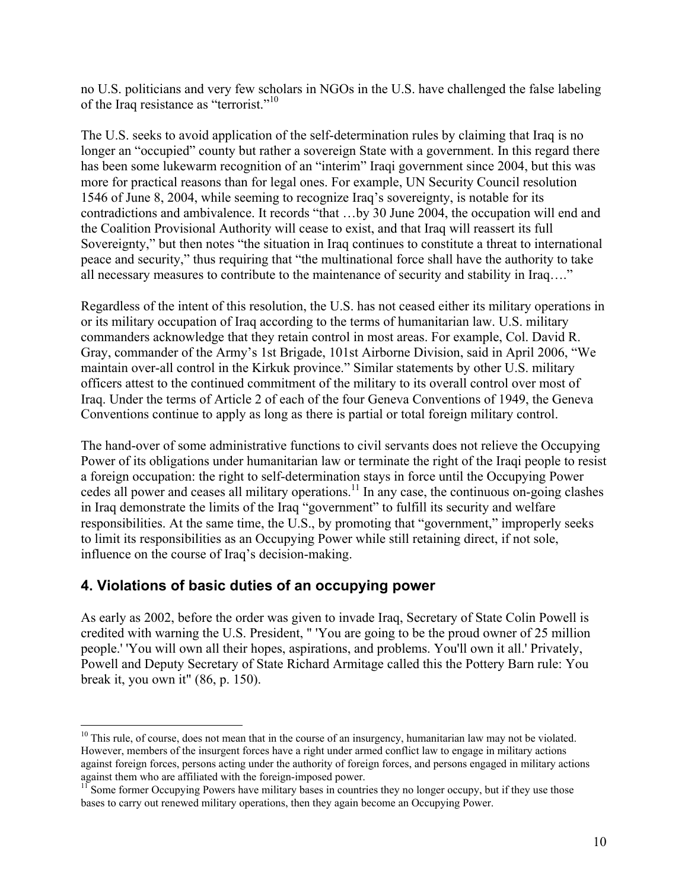no U.S. politicians and very few scholars in NGOs in the U.S. have challenged the false labeling of the Iraq resistance as "terrorist."<sup>10</sup>

The U.S. seeks to avoid application of the self-determination rules by claiming that Iraq is no longer an "occupied" county but rather a sovereign State with a government. In this regard there has been some lukewarm recognition of an "interim" Iraqi government since 2004, but this was more for practical reasons than for legal ones. For example, UN Security Council resolution 1546 of June 8, 2004, while seeming to recognize Iraq's sovereignty, is notable for its contradictions and ambivalence. It records "that …by 30 June 2004, the occupation will end and the Coalition Provisional Authority will cease to exist, and that Iraq will reassert its full Sovereignty," but then notes "the situation in Iraq continues to constitute a threat to international peace and security," thus requiring that "the multinational force shall have the authority to take all necessary measures to contribute to the maintenance of security and stability in Iraq…."

Regardless of the intent of this resolution, the U.S. has not ceased either its military operations in or its military occupation of Iraq according to the terms of humanitarian law. U.S. military commanders acknowledge that they retain control in most areas. For example, Col. David R. Gray, commander of the Army's 1st Brigade, 101st Airborne Division, said in April 2006, "We maintain over-all control in the Kirkuk province." Similar statements by other U.S. military officers attest to the continued commitment of the military to its overall control over most of Iraq. Under the terms of Article 2 of each of the four Geneva Conventions of 1949, the Geneva Conventions continue to apply as long as there is partial or total foreign military control.

The hand-over of some administrative functions to civil servants does not relieve the Occupying Power of its obligations under humanitarian law or terminate the right of the Iraqi people to resist a foreign occupation: the right to self-determination stays in force until the Occupying Power cedes all power and ceases all military operations.<sup>11</sup> In any case, the continuous on-going clashes in Iraq demonstrate the limits of the Iraq "government" to fulfill its security and welfare responsibilities. At the same time, the U.S., by promoting that "government," improperly seeks to limit its responsibilities as an Occupying Power while still retaining direct, if not sole, influence on the course of Iraq's decision-making.

# **4. Violations of basic duties of an occupying power**

As early as 2002, before the order was given to invade Iraq, Secretary of State Colin Powell is credited with warning the U.S. President, " 'You are going to be the proud owner of 25 million people.' 'You will own all their hopes, aspirations, and problems. You'll own it all.' Privately, Powell and Deputy Secretary of State Richard Armitage called this the Pottery Barn rule: You break it, you own it" (86, p. 150).

<sup>&</sup>lt;sup>10</sup> This rule, of course, does not mean that in the course of an insurgency, humanitarian law may not be violated. However, members of the insurgent forces have a right under armed conflict law to engage in military actions against foreign forces, persons acting under the authority of foreign forces, and persons engaged in military actions against them who are affiliated with the foreign-imposed power.<br><sup>11</sup> Some former Occupying Powers have military bases in countries they no longer occupy, but if they use those

bases to carry out renewed military operations, then they again become an Occupying Power.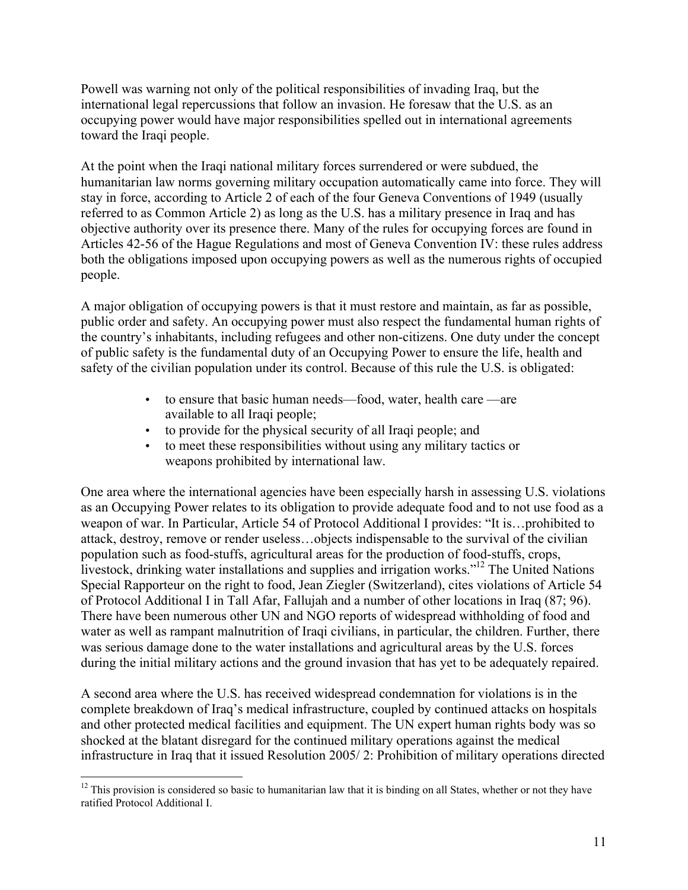Powell was warning not only of the political responsibilities of invading Iraq, but the international legal repercussions that follow an invasion. He foresaw that the U.S. as an occupying power would have major responsibilities spelled out in international agreements toward the Iraqi people.

At the point when the Iraqi national military forces surrendered or were subdued, the humanitarian law norms governing military occupation automatically came into force. They will stay in force, according to Article 2 of each of the four Geneva Conventions of 1949 (usually referred to as Common Article 2) as long as the U.S. has a military presence in Iraq and has objective authority over its presence there. Many of the rules for occupying forces are found in Articles 42-56 of the Hague Regulations and most of Geneva Convention IV: these rules address both the obligations imposed upon occupying powers as well as the numerous rights of occupied people.

A major obligation of occupying powers is that it must restore and maintain, as far as possible, public order and safety. An occupying power must also respect the fundamental human rights of the country's inhabitants, including refugees and other non-citizens. One duty under the concept of public safety is the fundamental duty of an Occupying Power to ensure the life, health and safety of the civilian population under its control. Because of this rule the U.S. is obligated:

- to ensure that basic human needs—food, water, health care —are available to all Iraqi people;
- to provide for the physical security of all Iraqi people; and
- to meet these responsibilities without using any military tactics or weapons prohibited by international law.

One area where the international agencies have been especially harsh in assessing U.S. violations as an Occupying Power relates to its obligation to provide adequate food and to not use food as a weapon of war. In Particular, Article 54 of Protocol Additional I provides: "It is…prohibited to attack, destroy, remove or render useless…objects indispensable to the survival of the civilian population such as food-stuffs, agricultural areas for the production of food-stuffs, crops, livestock, drinking water installations and supplies and irrigation works."12 The United Nations Special Rapporteur on the right to food, Jean Ziegler (Switzerland), cites violations of Article 54 of Protocol Additional I in Tall Afar, Fallujah and a number of other locations in Iraq (87; 96). There have been numerous other UN and NGO reports of widespread withholding of food and water as well as rampant malnutrition of Iraqi civilians, in particular, the children. Further, there was serious damage done to the water installations and agricultural areas by the U.S. forces during the initial military actions and the ground invasion that has yet to be adequately repaired.

A second area where the U.S. has received widespread condemnation for violations is in the complete breakdown of Iraq's medical infrastructure, coupled by continued attacks on hospitals and other protected medical facilities and equipment. The UN expert human rights body was so shocked at the blatant disregard for the continued military operations against the medical infrastructure in Iraq that it issued Resolution 2005/ 2: Prohibition of military operations directed

<sup>&</sup>lt;sup>12</sup> This provision is considered so basic to humanitarian law that it is binding on all States, whether or not they have ratified Protocol Additional I.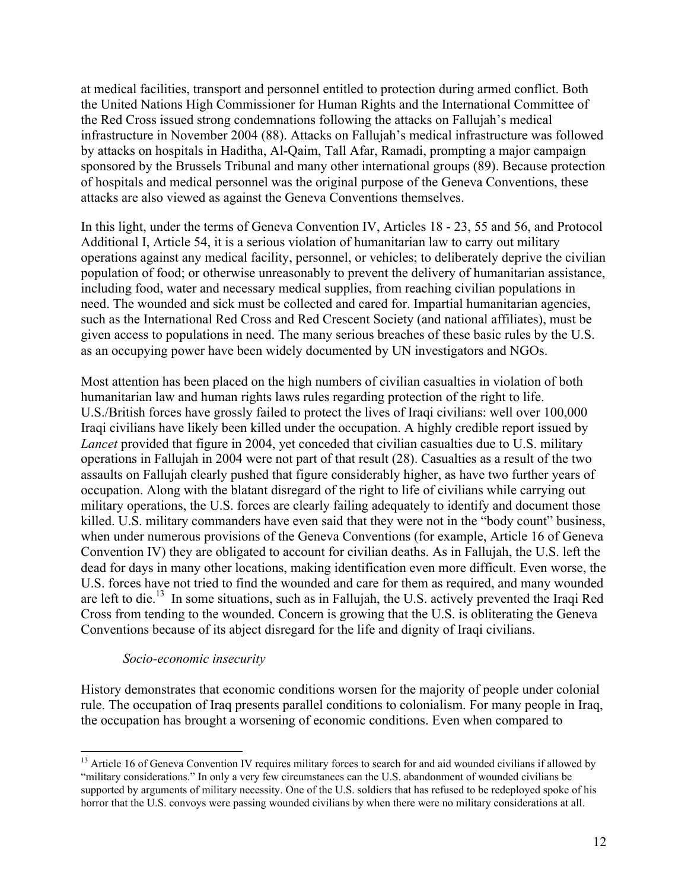at medical facilities, transport and personnel entitled to protection during armed conflict. Both the United Nations High Commissioner for Human Rights and the International Committee of the Red Cross issued strong condemnations following the attacks on Fallujah's medical infrastructure in November 2004 (88). Attacks on Fallujah's medical infrastructure was followed by attacks on hospitals in Haditha, Al-Qaim, Tall Afar, Ramadi, prompting a major campaign sponsored by the Brussels Tribunal and many other international groups (89). Because protection of hospitals and medical personnel was the original purpose of the Geneva Conventions, these attacks are also viewed as against the Geneva Conventions themselves.

In this light, under the terms of Geneva Convention IV, Articles 18 - 23, 55 and 56, and Protocol Additional I, Article 54, it is a serious violation of humanitarian law to carry out military operations against any medical facility, personnel, or vehicles; to deliberately deprive the civilian population of food; or otherwise unreasonably to prevent the delivery of humanitarian assistance, including food, water and necessary medical supplies, from reaching civilian populations in need. The wounded and sick must be collected and cared for. Impartial humanitarian agencies, such as the International Red Cross and Red Crescent Society (and national affiliates), must be given access to populations in need. The many serious breaches of these basic rules by the U.S. as an occupying power have been widely documented by UN investigators and NGOs.

Most attention has been placed on the high numbers of civilian casualties in violation of both humanitarian law and human rights laws rules regarding protection of the right to life. U.S./British forces have grossly failed to protect the lives of Iraqi civilians: well over 100,000 Iraqi civilians have likely been killed under the occupation. A highly credible report issued by *Lancet* provided that figure in 2004, yet conceded that civilian casualties due to U.S. military operations in Fallujah in 2004 were not part of that result (28). Casualties as a result of the two assaults on Fallujah clearly pushed that figure considerably higher, as have two further years of occupation. Along with the blatant disregard of the right to life of civilians while carrying out military operations, the U.S. forces are clearly failing adequately to identify and document those killed. U.S. military commanders have even said that they were not in the "body count" business, when under numerous provisions of the Geneva Conventions (for example, Article 16 of Geneva Convention IV) they are obligated to account for civilian deaths. As in Fallujah, the U.S. left the dead for days in many other locations, making identification even more difficult. Even worse, the U.S. forces have not tried to find the wounded and care for them as required, and many wounded are left to die.<sup>13</sup> In some situations, such as in Fallujah, the U.S. actively prevented the Iraqi Red Cross from tending to the wounded. Concern is growing that the U.S. is obliterating the Geneva Conventions because of its abject disregard for the life and dignity of Iraqi civilians.

#### *Socio-economic insecurity*

History demonstrates that economic conditions worsen for the majority of people under colonial rule. The occupation of Iraq presents parallel conditions to colonialism. For many people in Iraq, the occupation has brought a worsening of economic conditions. Even when compared to

<sup>&</sup>lt;sup>13</sup> Article 16 of Geneva Convention IV requires military forces to search for and aid wounded civilians if allowed by "military considerations." In only a very few circumstances can the U.S. abandonment of wounded civilians be supported by arguments of military necessity. One of the U.S. soldiers that has refused to be redeployed spoke of his horror that the U.S. convoys were passing wounded civilians by when there were no military considerations at all.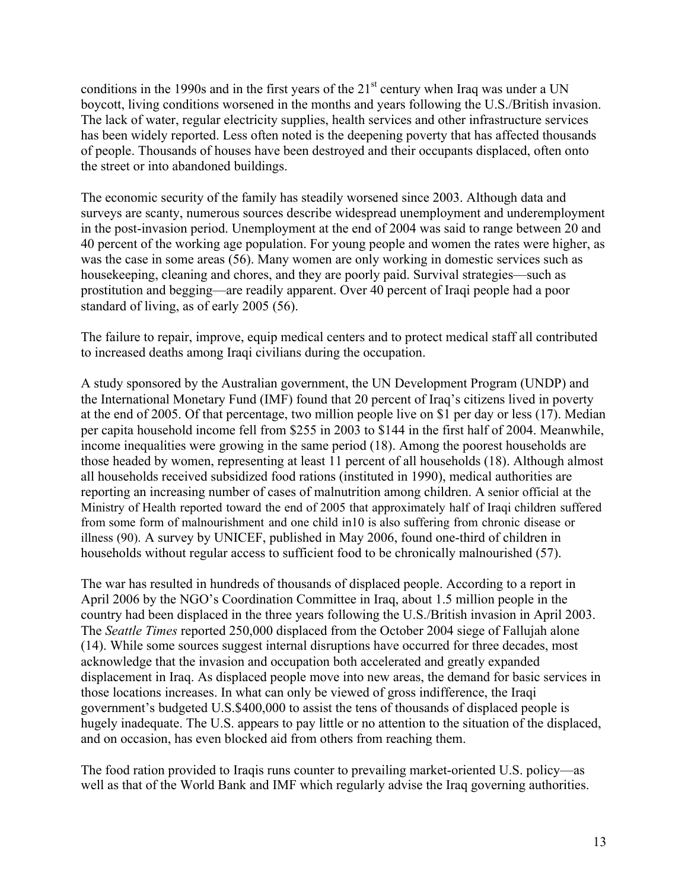conditions in the 1990s and in the first years of the  $21<sup>st</sup>$  century when Iraq was under a UN boycott, living conditions worsened in the months and years following the U.S./British invasion. The lack of water, regular electricity supplies, health services and other infrastructure services has been widely reported. Less often noted is the deepening poverty that has affected thousands of people. Thousands of houses have been destroyed and their occupants displaced, often onto the street or into abandoned buildings.

The economic security of the family has steadily worsened since 2003. Although data and surveys are scanty, numerous sources describe widespread unemployment and underemployment in the post-invasion period. Unemployment at the end of 2004 was said to range between 20 and 40 percent of the working age population. For young people and women the rates were higher, as was the case in some areas (56). Many women are only working in domestic services such as housekeeping, cleaning and chores, and they are poorly paid. Survival strategies—such as prostitution and begging—are readily apparent. Over 40 percent of Iraqi people had a poor standard of living, as of early 2005 (56).

The failure to repair, improve, equip medical centers and to protect medical staff all contributed to increased deaths among Iraqi civilians during the occupation.

A study sponsored by the Australian government, the UN Development Program (UNDP) and the International Monetary Fund (IMF) found that 20 percent of Iraq's citizens lived in poverty at the end of 2005. Of that percentage, two million people live on \$1 per day or less (17). Median per capita household income fell from \$255 in 2003 to \$144 in the first half of 2004. Meanwhile, income inequalities were growing in the same period (18). Among the poorest households are those headed by women, representing at least 11 percent of all households (18). Although almost all households received subsidized food rations (instituted in 1990), medical authorities are reporting an increasing number of cases of malnutrition among children. A senior official at the Ministry of Health reported toward the end of 2005 that approximately half of Iraqi children suffered from some form of malnourishment and one child in10 is also suffering from chronic disease or illness (90). A survey by UNICEF, published in May 2006, found one-third of children in households without regular access to sufficient food to be chronically malnourished (57).

The war has resulted in hundreds of thousands of displaced people. According to a report in April 2006 by the NGO's Coordination Committee in Iraq, about 1.5 million people in the country had been displaced in the three years following the U.S./British invasion in April 2003. The *Seattle Times* reported 250,000 displaced from the October 2004 siege of Fallujah alone (14). While some sources suggest internal disruptions have occurred for three decades, most acknowledge that the invasion and occupation both accelerated and greatly expanded displacement in Iraq. As displaced people move into new areas, the demand for basic services in those locations increases. In what can only be viewed of gross indifference, the Iraqi government's budgeted U.S.\$400,000 to assist the tens of thousands of displaced people is hugely inadequate. The U.S. appears to pay little or no attention to the situation of the displaced, and on occasion, has even blocked aid from others from reaching them.

The food ration provided to Iraqis runs counter to prevailing market-oriented U.S. policy—as well as that of the World Bank and IMF which regularly advise the Iraq governing authorities.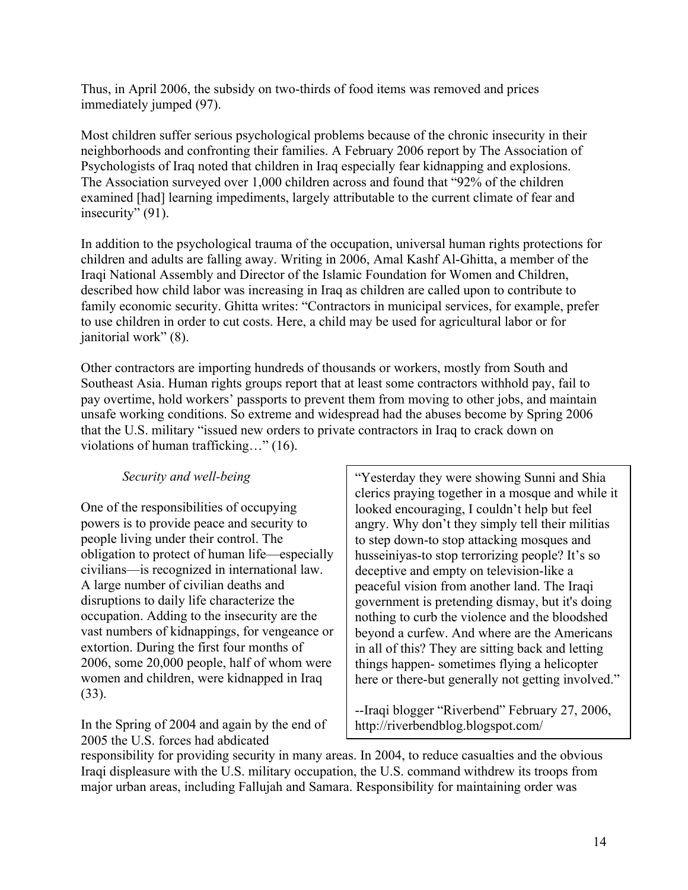Thus, in April 2006, the subsidy on two-thirds of food items was removed and prices immediately jumped (97).

Most children suffer serious psychological problems because of the chronic insecurity in their neighborhoods and confronting their families. A February 2006 report by The Association of Psychologists of Iraq noted that children in Iraq especially fear kidnapping and explosions. The Association surveyed over 1,000 children across and found that "92% of the children examined [had] learning impediments, largely attributable to the current climate of fear and insecurity" (91).

In addition to the psychological trauma of the occupation, universal human rights protections for children and adults are falling away. Writing in 2006, Amal Kashf Al-Ghitta, a member of the Iraqi National Assembly and Director of the Islamic Foundation for Women and Children, described how child labor was increasing in Iraq as children are called upon to contribute to family economic security. Ghitta writes: "Contractors in municipal services, for example, prefer to use children in order to cut costs. Here, a child may be used for agricultural labor or for janitorial work" (8).

Other contractors are importing hundreds of thousands or workers, mostly from South and Southeast Asia. Human rights groups report that at least some contractors withhold pay, fail to pay overtime, hold workers' passports to prevent them from moving to other jobs, and maintain unsafe working conditions. So extreme and widespread had the abuses become by Spring 2006 that the U.S. military "issued new orders to private contractors in Iraq to crack down on violations of human trafficking…" (16).

### *Security and well-being*

One of the responsibilities of occupying powers is to provide peace and security to people living under their control. The obligation to protect of human life—especially civilians—is recognized in international law. A large number of civilian deaths and disruptions to daily life characterize the occupation. Adding to the insecurity are the vast numbers of kidnappings, for vengeance or extortion. During the first four months of 2006, some 20,000 people, half of whom were women and children, were kidnapped in Iraq (33).

In the Spring of 2004 and again by the end of 2005 the U.S. forces had abdicated

"Yesterday they were showing Sunni and Shia clerics praying together in a mosque and while it looked encouraging, I couldn't help but feel angry. Why don't they simply tell their militias to step down-to stop attacking mosques and husseiniyas-to stop terrorizing people? It's so deceptive and empty on television-like a peaceful vision from another land. The Iraqi government is pretending dismay, but it's doing nothing to curb the violence and the bloodshed beyond a curfew. And where are the Americans in all of this? They are sitting back and letting things happen- sometimes flying a helicopter here or there-but generally not getting involved."

--Iraqi blogger "Riverbend" February 27, 2006, <http://riverbendblog.blogspot.com/>

responsibility for providing security in many areas. In 2004, to reduce casualties and the obvious Iraqi displeasure with the U.S. military occupation, the U.S. command withdrew its troops from major urban areas, including Fallujah and Samara. Responsibility for maintaining order was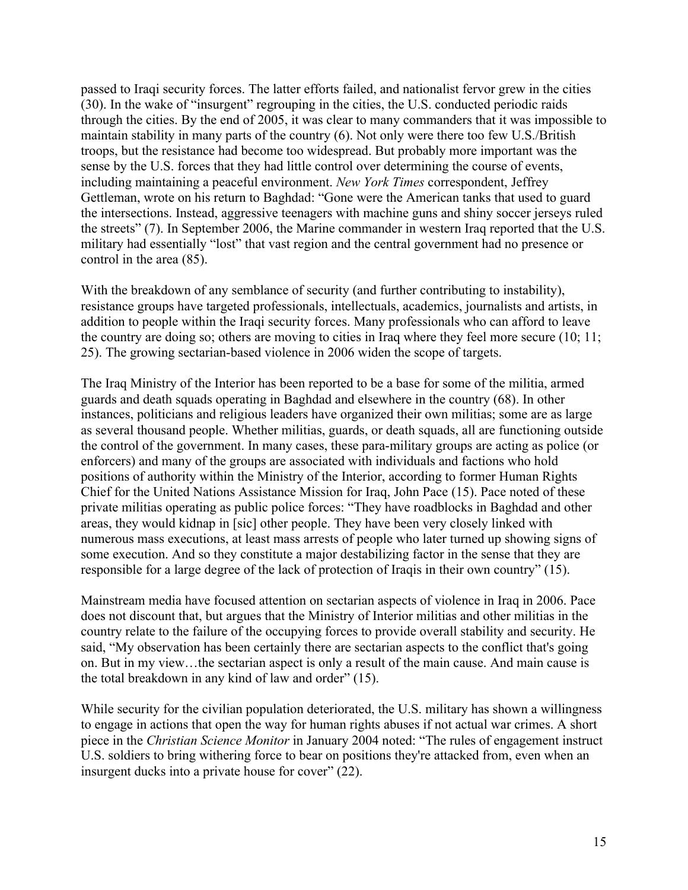passed to Iraqi security forces. The latter efforts failed, and nationalist fervor grew in the cities (30). In the wake of "insurgent" regrouping in the cities, the U.S. conducted periodic raids through the cities. By the end of 2005, it was clear to many commanders that it was impossible to maintain stability in many parts of the country (6). Not only were there too few U.S./British troops, but the resistance had become too widespread. But probably more important was the sense by the U.S. forces that they had little control over determining the course of events, including maintaining a peaceful environment. *New York Times* correspondent, Jeffrey Gettleman, wrote on his return to Baghdad: "Gone were the American tanks that used to guard the intersections. Instead, aggressive teenagers with machine guns and shiny soccer jerseys ruled the streets" (7). In September 2006, the Marine commander in western Iraq reported that the U.S. military had essentially "lost" that vast region and the central government had no presence or control in the area (85).

With the breakdown of any semblance of security (and further contributing to instability), resistance groups have targeted professionals, intellectuals, academics, journalists and artists, in addition to people within the Iraqi security forces. Many professionals who can afford to leave the country are doing so; others are moving to cities in Iraq where they feel more secure (10; 11; 25). The growing sectarian-based violence in 2006 widen the scope of targets.

The Iraq Ministry of the Interior has been reported to be a base for some of the militia, armed guards and death squads operating in Baghdad and elsewhere in the country (68). In other instances, politicians and religious leaders have organized their own militias; some are as large as several thousand people. Whether militias, guards, or death squads, all are functioning outside the control of the government. In many cases, these para-military groups are acting as police (or enforcers) and many of the groups are associated with individuals and factions who hold positions of authority within the Ministry of the Interior, according to former Human Rights Chief for the United Nations Assistance Mission for Iraq, John Pace (15). Pace noted of these private militias operating as public police forces: "They have roadblocks in Baghdad and other areas, they would kidnap in [sic] other people. They have been very closely linked with numerous mass executions, at least mass arrests of people who later turned up showing signs of some execution. And so they constitute a major destabilizing factor in the sense that they are responsible for a large degree of the lack of protection of Iraqis in their own country" (15).

Mainstream media have focused attention on sectarian aspects of violence in Iraq in 2006. Pace does not discount that, but argues that the Ministry of Interior militias and other militias in the country relate to the failure of the occupying forces to provide overall stability and security. He said, "My observation has been certainly there are sectarian aspects to the conflict that's going on. But in my view…the sectarian aspect is only a result of the main cause. And main cause is the total breakdown in any kind of law and order" (15).

While security for the civilian population deteriorated, the U.S. military has shown a willingness to engage in actions that open the way for human rights abuses if not actual war crimes. A short piece in the *Christian Science Monitor* in January 2004 noted: "The rules of engagement instruct U.S. soldiers to bring withering force to bear on positions they're attacked from, even when an insurgent ducks into a private house for cover" (22).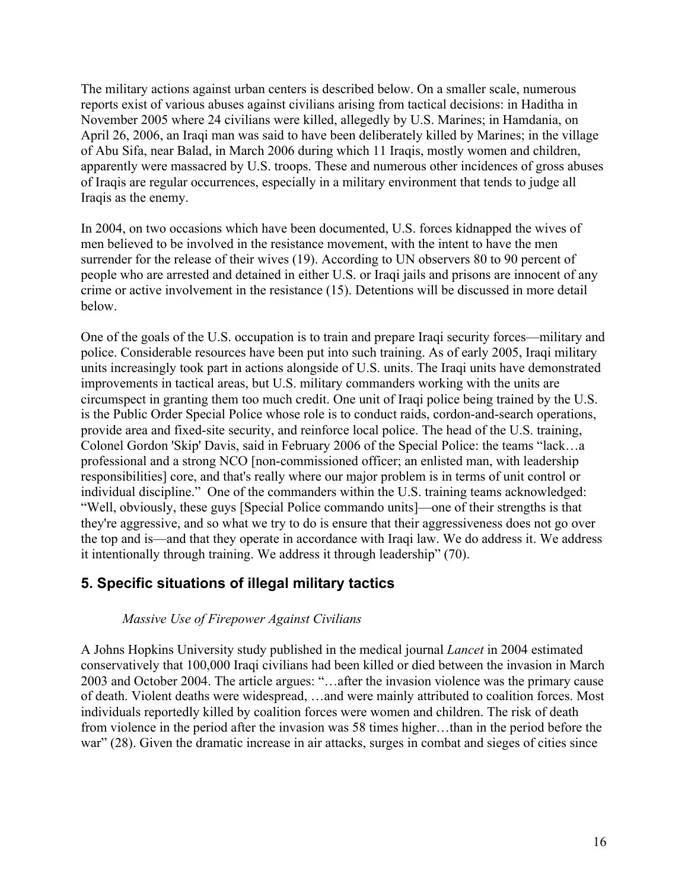The military actions against urban centers is described below. On a smaller scale, numerous reports exist of various abuses against civilians arising from tactical decisions: in Haditha in November 2005 where 24 civilians were killed, allegedly by U.S. Marines; in Hamdania, on April 26, 2006, an Iraqi man was said to have been deliberately killed by Marines; in the village of Abu Sifa, near Balad, in March 2006 during which 11 Iraqis, mostly women and children, apparently were massacred by U.S. troops. These and numerous other incidences of gross abuses of Iraqis are regular occurrences, especially in a military environment that tends to judge all Iraqis as the enemy.

In 2004, on two occasions which have been documented, U.S. forces kidnapped the wives of men believed to be involved in the resistance movement, with the intent to have the men surrender for the release of their wives (19). According to UN observers 80 to 90 percent of people who are arrested and detained in either U.S. or Iraqi jails and prisons are innocent of any crime or active involvement in the resistance (15). Detentions will be discussed in more detail below.

One of the goals of the U.S. occupation is to train and prepare Iraqi security forces—military and police. Considerable resources have been put into such training. As of early 2005, Iraqi military units increasingly took part in actions alongside of U.S. units. The Iraqi units have demonstrated improvements in tactical areas, but U.S. military commanders working with the units are circumspect in granting them too much credit. One unit of Iraqi police being trained by the U.S. is the Public Order Special Police whose role is to conduct raids, cordon-and-search operations, provide area and fixed-site security, and reinforce local police. The head of the U.S. training, Colonel Gordon 'Skip' Davis, said in February 2006 of the Special Police: the teams "lack…a professional and a strong NCO [non-commissioned officer; an enlisted man, with leadership responsibilities] core, and that's really where our major problem is in terms of unit control or individual discipline." One of the commanders within the U.S. training teams acknowledged: "Well, obviously, these guys [Special Police commando units]—one of their strengths is that they're aggressive, and so what we try to do is ensure that their aggressiveness does not go over the top and is—and that they operate in accordance with Iraqi law. We do address it. We address it intentionally through training. We address it through leadership" (70).

### **5. Specific situations of illegal military tactics**

#### *Massive Use of Firepower Against Civilians*

A Johns Hopkins University study published in the medical journal *Lancet* in 2004 estimated conservatively that 100,000 Iraqi civilians had been killed or died between the invasion in March 2003 and October 2004. The article argues: "…after the invasion violence was the primary cause of death. Violent deaths were widespread, …and were mainly attributed to coalition forces. Most individuals reportedly killed by coalition forces were women and children. The risk of death from violence in the period after the invasion was 58 times higher…than in the period before the war" (28). Given the dramatic increase in air attacks, surges in combat and sieges of cities since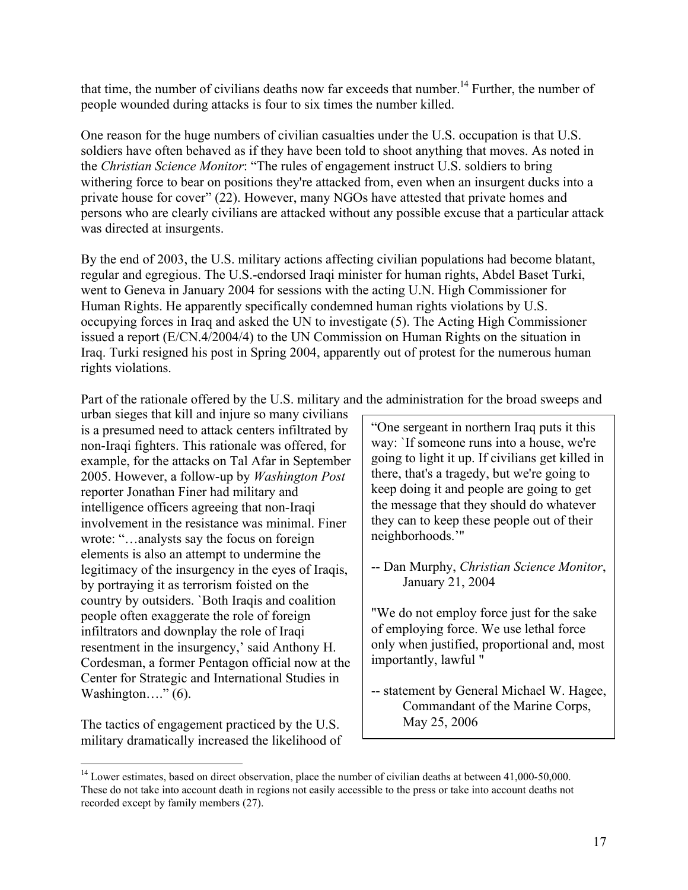that time, the number of civilians deaths now far exceeds that number.<sup>14</sup> Further, the number of people wounded during attacks is four to six times the number killed.

One reason for the huge numbers of civilian casualties under the U.S. occupation is that U.S. soldiers have often behaved as if they have been told to shoot anything that moves. As noted in the *Christian Science Monitor*: "The rules of engagement instruct U.S. soldiers to bring withering force to bear on positions they're attacked from, even when an insurgent ducks into a private house for cover" (22). However, many NGOs have attested that private homes and persons who are clearly civilians are attacked without any possible excuse that a particular attack was directed at insurgents.

By the end of 2003, the U.S. military actions affecting civilian populations had become blatant, regular and egregious. The U.S.-endorsed Iraqi minister for human rights, Abdel Baset Turki, went to Geneva in January 2004 for sessions with the acting U.N. High Commissioner for Human Rights. He apparently specifically condemned human rights violations by U.S. occupying forces in Iraq and asked the UN to investigate (5). The Acting High Commissioner issued a report (E/CN.4/2004/4) to the UN Commission on Human Rights on the situation in Iraq. Turki resigned his post in Spring 2004, apparently out of protest for the numerous human rights violations.

Part of the rationale offered by the U.S. military and the administration for the broad sweeps and

urban sieges that kill and injure so many civilians is a presumed need to attack centers infiltrated by non-Iraqi fighters. This rationale was offered, for example, for the attacks on Tal Afar in September 2005. However, a follow-up by *Washington Post* reporter Jonathan Finer had military and intelligence officers agreeing that non-Iraqi involvement in the resistance was minimal. Finer wrote: "…analysts say the focus on foreign elements is also an attempt to undermine the legitimacy of the insurgency in the eyes of Iraqis, by portraying it as terrorism foisted on the country by outsiders. `Both Iraqis and coalition people often exaggerate the role of foreign infiltrators and downplay the role of Iraqi resentment in the insurgency,' said Anthony H. Cordesman, a former Pentagon official now at the Center for Strategic and International Studies in Washington...."  $(6)$ .

The tactics of engagement practiced by the U.S. military dramatically increased the likelihood of "One sergeant in northern Iraq puts it this way: `If someone runs into a house, we're going to light it up. If civilians get killed in there, that's a tragedy, but we're going to keep doing it and people are going to get the message that they should do whatever they can to keep these people out of their neighborhoods.'"

-- Dan Murphy, *Christian Science Monitor*, January 21, 2004

"We do not employ force just for the sake of employing force. We use lethal force only when justified, proportional and, most importantly, lawful "

-- statement by General Michael W. Hagee, Commandant of the Marine Corps, May 25, 2006

<sup>&</sup>lt;sup>14</sup> Lower estimates, based on direct observation, place the number of civilian deaths at between 41,000-50,000. These do not take into account death in regions not easily accessible to the press or take into account deaths not recorded except by family members (27).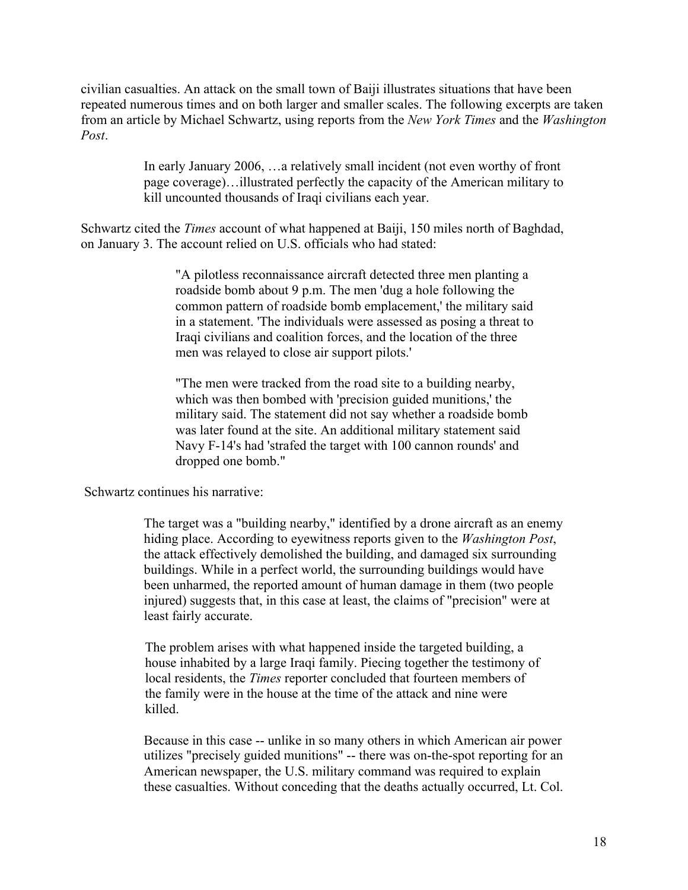civilian casualties. An attack on the small town of Baiji illustrates situations that have been repeated numerous times and on both larger and smaller scales. The following excerpts are taken from an article by Michael Schwartz, using reports from the *New York Times* and the *Washington Post*.

> In early January 2006, …a relatively small incident (not even worthy of front page coverage)…illustrated perfectly the capacity of the American military to kill uncounted thousands of Iraqi civilians each year.

Schwartz cited the *Times* account of what happened at Baiji, 150 miles north of Baghdad, on January 3. The account relied on U.S. officials who had stated:

> "A pilotless reconnaissance aircraft detected three men planting a roadside bomb about 9 p.m. The men 'dug a hole following the common pattern of roadside bomb emplacement,' the military said in a statement. 'The individuals were assessed as posing a threat to Iraqi civilians and coalition forces, and the location of the three men was relayed to close air support pilots.'

"The men were tracked from the road site to a building nearby, which was then bombed with 'precision guided munitions,' the military said. The statement did not say whether a roadside bomb was later found at the site. An additional military statement said Navy F-14's had 'strafed the target with 100 cannon rounds' and dropped one bomb."

Schwartz continues his narrative:

The target was a "building nearby," identified by a drone aircraft as an enemy hiding place. According to eyewitness reports given to the *Washington Post*, the attack effectively demolished the building, and damaged six surrounding buildings. While in a perfect world, the surrounding buildings would have been unharmed, the reported amount of human damage in them (two people injured) suggests that, in this case at least, the claims of "precision" were at least fairly accurate.

The problem arises with what happened inside the targeted building, a house inhabited by a large Iraqi family. Piecing together the testimony of local residents, the *Times* reporter concluded that fourteen members of the family were in the house at the time of the attack and nine were killed.

Because in this case -- unlike in so many others in which American air power utilizes "precisely guided munitions" -- there was on-the-spot reporting for an American newspaper, the U.S. military command was required to explain these casualties. Without conceding that the deaths actually occurred, Lt. Col.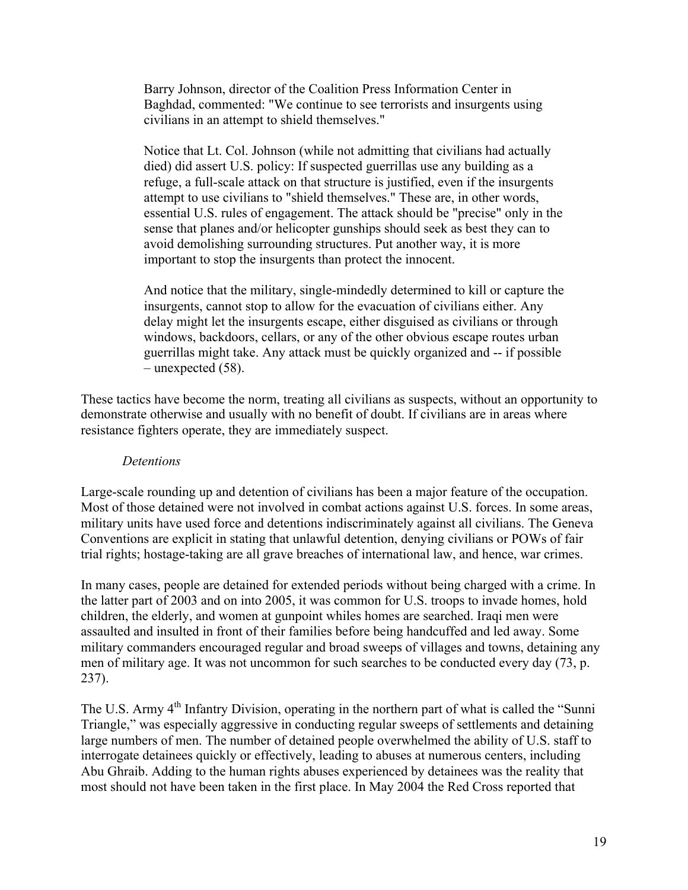Barry Johnson, director of the Coalition Press Information Center in Baghdad, commented: "We continue to see terrorists and insurgents using civilians in an attempt to shield themselves."

Notice that Lt. Col. Johnson (while not admitting that civilians had actually died) did assert U.S. policy: If suspected guerrillas use any building as a refuge, a full-scale attack on that structure is justified, even if the insurgents attempt to use civilians to "shield themselves." These are, in other words, essential U.S. rules of engagement. The attack should be "precise" only in the sense that planes and/or helicopter gunships should seek as best they can to avoid demolishing surrounding structures. Put another way, it is more important to stop the insurgents than protect the innocent.

And notice that the military, single-mindedly determined to kill or capture the insurgents, cannot stop to allow for the evacuation of civilians either. Any delay might let the insurgents escape, either disguised as civilians or through windows, backdoors, cellars, or any of the other obvious escape routes urban guerrillas might take. Any attack must be quickly organized and -- if possible – unexpected (58).

These tactics have become the norm, treating all civilians as suspects, without an opportunity to demonstrate otherwise and usually with no benefit of doubt. If civilians are in areas where resistance fighters operate, they are immediately suspect.

#### *Detentions*

Large-scale rounding up and detention of civilians has been a major feature of the occupation. Most of those detained were not involved in combat actions against U.S. forces. In some areas, military units have used force and detentions indiscriminately against all civilians. The Geneva Conventions are explicit in stating that unlawful detention, denying civilians or POWs of fair trial rights; hostage-taking are all grave breaches of international law, and hence, war crimes.

In many cases, people are detained for extended periods without being charged with a crime. In the latter part of 2003 and on into 2005, it was common for U.S. troops to invade homes, hold children, the elderly, and women at gunpoint whiles homes are searched. Iraqi men were assaulted and insulted in front of their families before being handcuffed and led away. Some military commanders encouraged regular and broad sweeps of villages and towns, detaining any men of military age. It was not uncommon for such searches to be conducted every day (73, p. 237).

The U.S. Army 4<sup>th</sup> Infantry Division, operating in the northern part of what is called the "Sunni" Triangle," was especially aggressive in conducting regular sweeps of settlements and detaining large numbers of men. The number of detained people overwhelmed the ability of U.S. staff to interrogate detainees quickly or effectively, leading to abuses at numerous centers, including Abu Ghraib. Adding to the human rights abuses experienced by detainees was the reality that most should not have been taken in the first place. In May 2004 the Red Cross reported that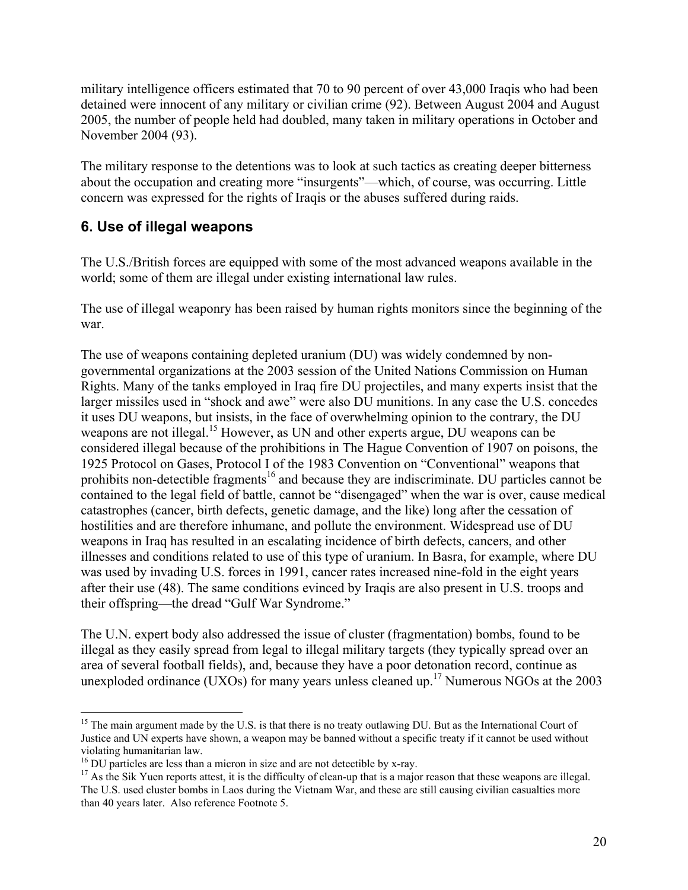military intelligence officers estimated that 70 to 90 percent of over 43,000 Iraqis who had been detained were innocent of any military or civilian crime (92). Between August 2004 and August 2005, the number of people held had doubled, many taken in military operations in October and November 2004 (93).

The military response to the detentions was to look at such tactics as creating deeper bitterness about the occupation and creating more "insurgents"—which, of course, was occurring. Little concern was expressed for the rights of Iraqis or the abuses suffered during raids.

# **6. Use of illegal weapons**

The U.S./British forces are equipped with some of the most advanced weapons available in the world; some of them are illegal under existing international law rules.

The use of illegal weaponry has been raised by human rights monitors since the beginning of the war.

The use of weapons containing depleted uranium (DU) was widely condemned by nongovernmental organizations at the 2003 session of the United Nations Commission on Human Rights. Many of the tanks employed in Iraq fire DU projectiles, and many experts insist that the larger missiles used in "shock and awe" were also DU munitions. In any case the U.S. concedes it uses DU weapons, but insists, in the face of overwhelming opinion to the contrary, the DU weapons are not illegal.<sup>15</sup> However, as UN and other experts argue, DU weapons can be considered illegal because of the prohibitions in The Hague Convention of 1907 on poisons, the 1925 Protocol on Gases, Protocol I of the 1983 Convention on "Conventional" weapons that prohibits non-detectible fragments<sup>16</sup> and because they are indiscriminate. DU particles cannot be contained to the legal field of battle, cannot be "disengaged" when the war is over, cause medical catastrophes (cancer, birth defects, genetic damage, and the like) long after the cessation of hostilities and are therefore inhumane, and pollute the environment. Widespread use of DU weapons in Iraq has resulted in an escalating incidence of birth defects, cancers, and other illnesses and conditions related to use of this type of uranium. In Basra, for example, where DU was used by invading U.S. forces in 1991, cancer rates increased nine-fold in the eight years after their use (48). The same conditions evinced by Iraqis are also present in U.S. troops and their offspring—the dread "Gulf War Syndrome."

The U.N. expert body also addressed the issue of cluster (fragmentation) bombs, found to be illegal as they easily spread from legal to illegal military targets (they typically spread over an area of several football fields), and, because they have a poor detonation record, continue as unexploded ordinance (UXOs) for many years unless cleaned up.<sup>17</sup> Numerous NGOs at the 2003

<sup>&</sup>lt;sup>15</sup> The main argument made by the U.S. is that there is no treaty outlawing DU. But as the International Court of Justice and UN experts have shown, a weapon may be banned without a specific treaty if it cannot be used without violating humanitarian law.

<sup>&</sup>lt;sup>16</sup> DU particles are less than a micron in size and are not detectible by x-ray.

<sup>&</sup>lt;sup>17</sup> As the Sik Yuen reports attest, it is the difficulty of clean-up that is a major reason that these weapons are illegal. The U.S. used cluster bombs in Laos during the Vietnam War, and these are still causing civilian casualties more than 40 years later. Also reference Footnote 5.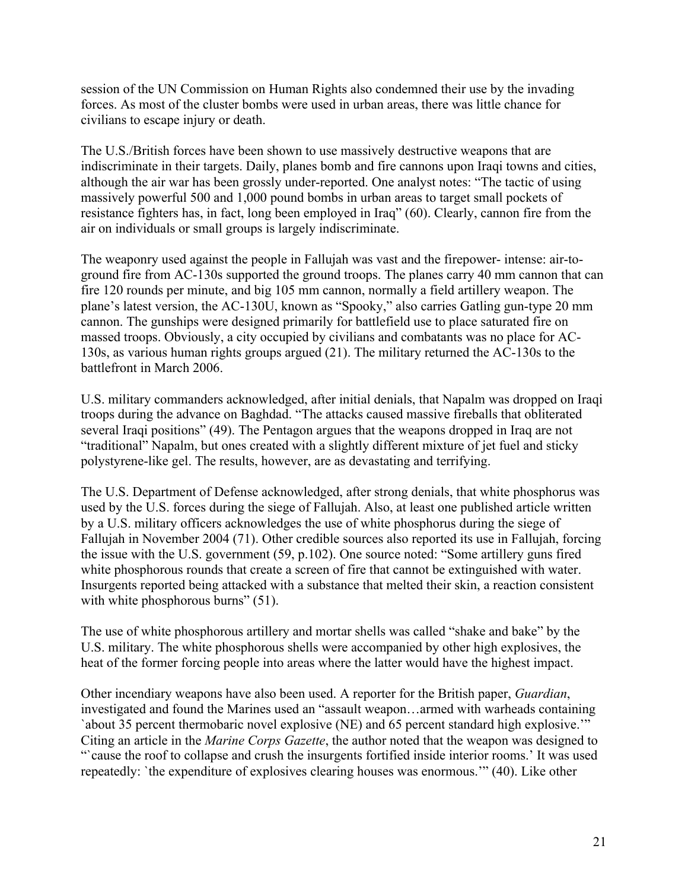session of the UN Commission on Human Rights also condemned their use by the invading forces. As most of the cluster bombs were used in urban areas, there was little chance for civilians to escape injury or death.

The U.S./British forces have been shown to use massively destructive weapons that are indiscriminate in their targets. Daily, planes bomb and fire cannons upon Iraqi towns and cities, although the air war has been grossly under-reported. One analyst notes: "The tactic of using massively powerful 500 and 1,000 pound bombs in urban areas to target small pockets of resistance fighters has, in fact, long been employed in Iraq" (60). Clearly, cannon fire from the air on individuals or small groups is largely indiscriminate.

The weaponry used against the people in Fallujah was vast and the firepower- intense: air-toground fire from AC-130s supported the ground troops. The planes carry 40 mm cannon that can fire 120 rounds per minute, and big 105 mm cannon, normally a field artillery weapon. The plane's latest version, the AC-130U, known as "Spooky," also carries Gatling gun-type 20 mm cannon. The gunships were designed primarily for battlefield use to place saturated fire on massed troops. Obviously, a city occupied by civilians and combatants was no place for AC-130s, as various human rights groups argued (21). The military returned the AC-130s to the battlefront in March 2006.

U.S. military commanders acknowledged, after initial denials, that Napalm was dropped on Iraqi troops during the advance on Baghdad. "The attacks caused massive fireballs that obliterated several Iraqi positions" (49). The Pentagon argues that the weapons dropped in Iraq are not "traditional" Napalm, but ones created with a slightly different mixture of jet fuel and sticky polystyrene-like gel. The results, however, are as devastating and terrifying.

The U.S. Department of Defense acknowledged, after strong denials, that white phosphorus was used by the U.S. forces during the siege of Fallujah. Also, at least one published article written by a U.S. military officers acknowledges the use of white phosphorus during the siege of Fallujah in November 2004 (71). Other credible sources also reported its use in Fallujah, forcing the issue with the U.S. government (59, p.102). One source noted: "Some artillery guns fired white phosphorous rounds that create a screen of fire that cannot be extinguished with water. Insurgents reported being attacked with a substance that melted their skin, a reaction consistent with white phosphorous burns" (51).

The use of white phosphorous artillery and mortar shells was called "shake and bake" by the U.S. military. The white phosphorous shells were accompanied by other high explosives, the heat of the former forcing people into areas where the latter would have the highest impact.

Other incendiary weapons have also been used. A reporter for the British paper, *Guardian*, investigated and found the Marines used an "assault weapon…armed with warheads containing `about 35 percent thermobaric novel explosive (NE) and 65 percent standard high explosive.'" Citing an article in the *Marine Corps Gazette*, the author noted that the weapon was designed to "Cause the roof to collapse and crush the insurgents fortified inside interior rooms.' It was used repeatedly: `the expenditure of explosives clearing houses was enormous.'" (40). Like other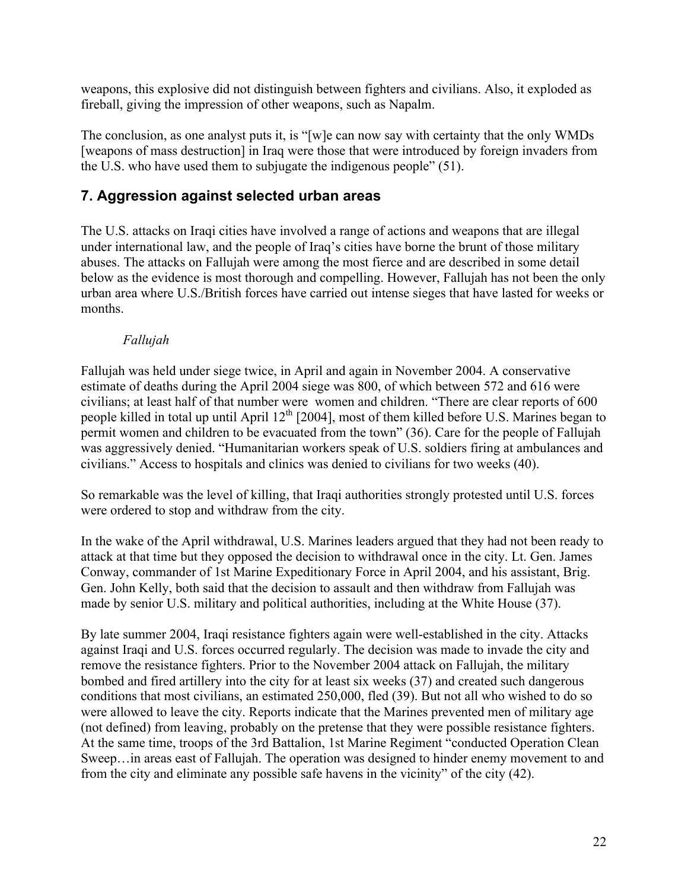weapons, this explosive did not distinguish between fighters and civilians. Also, it exploded as fireball, giving the impression of other weapons, such as Napalm.

The conclusion, as one analyst puts it, is "[w]e can now say with certainty that the only WMDs [weapons of mass destruction] in Iraq were those that were introduced by foreign invaders from the U.S. who have used them to subjugate the indigenous people" (51).

# **7. Aggression against selected urban areas**

The U.S. attacks on Iraqi cities have involved a range of actions and weapons that are illegal under international law, and the people of Iraq's cities have borne the brunt of those military abuses. The attacks on Fallujah were among the most fierce and are described in some detail below as the evidence is most thorough and compelling. However, Fallujah has not been the only urban area where U.S./British forces have carried out intense sieges that have lasted for weeks or months.

### *Fallujah*

Fallujah was held under siege twice, in April and again in November 2004. A conservative estimate of deaths during the April 2004 siege was 800, of which between 572 and 616 were civilians; at least half of that number were women and children. "There are clear reports of 600 people killed in total up until April 12<sup>th</sup> [2004], most of them killed before U.S. Marines began to permit women and children to be evacuated from the town" (36). Care for the people of Fallujah was aggressively denied. "Humanitarian workers speak of U.S. soldiers firing at ambulances and civilians." Access to hospitals and clinics was denied to civilians for two weeks (40).

So remarkable was the level of killing, that Iraqi authorities strongly protested until U.S. forces were ordered to stop and withdraw from the city.

In the wake of the April withdrawal, U.S. Marines leaders argued that they had not been ready to attack at that time but they opposed the decision to withdrawal once in the city. Lt. Gen. James Conway, commander of 1st Marine Expeditionary Force in April 2004, and his assistant, Brig. Gen. John Kelly, both said that the decision to assault and then withdraw from Fallujah was made by senior U.S. military and political authorities, including at the White House (37).

By late summer 2004, Iraqi resistance fighters again were well-established in the city. Attacks against Iraqi and U.S. forces occurred regularly. The decision was made to invade the city and remove the resistance fighters. Prior to the November 2004 attack on Fallujah, the military bombed and fired artillery into the city for at least six weeks (37) and created such dangerous conditions that most civilians, an estimated 250,000, fled (39). But not all who wished to do so were allowed to leave the city. Reports indicate that the Marines prevented men of military age (not defined) from leaving, probably on the pretense that they were possible resistance fighters. At the same time, troops of the 3rd Battalion, 1st Marine Regiment "conducted Operation Clean Sweep…in areas east of Fallujah. The operation was designed to hinder enemy movement to and from the city and eliminate any possible safe havens in the vicinity" of the city (42).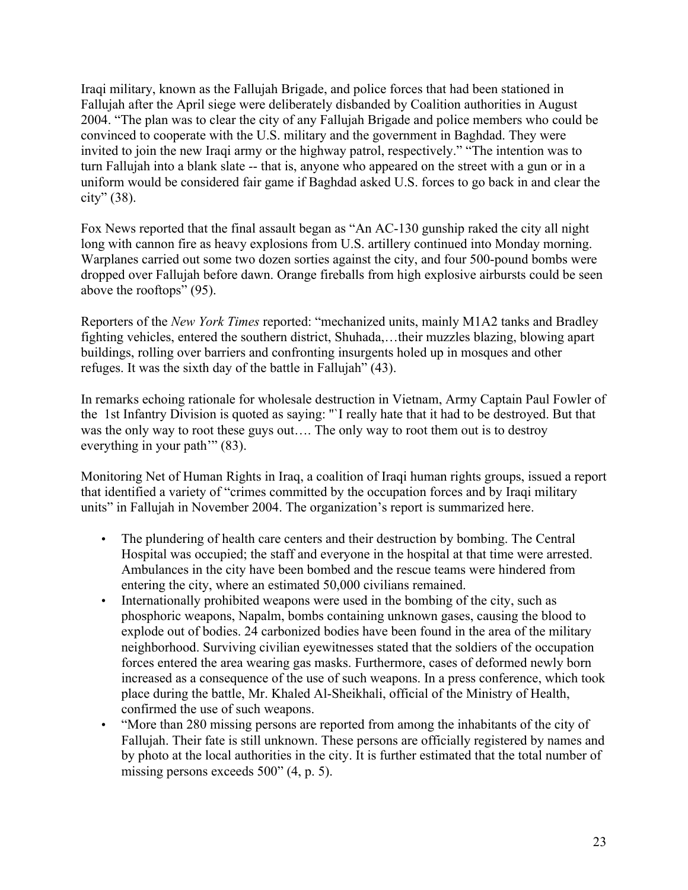Iraqi military, known as the Fallujah Brigade, and police forces that had been stationed in Fallujah after the April siege were deliberately disbanded by Coalition authorities in August 2004. "The plan was to clear the city of any Fallujah Brigade and police members who could be convinced to cooperate with the U.S. military and the government in Baghdad. They were invited to join the new Iraqi army or the highway patrol, respectively." "The intention was to turn Fallujah into a blank slate -- that is, anyone who appeared on the street with a gun or in a uniform would be considered fair game if Baghdad asked U.S. forces to go back in and clear the city" (38).

Fox News reported that the final assault began as "An AC-130 gunship raked the city all night long with cannon fire as heavy explosions from U.S. artillery continued into Monday morning. Warplanes carried out some two dozen sorties against the city, and four 500-pound bombs were dropped over Fallujah before dawn. Orange fireballs from high explosive airbursts could be seen above the rooftops" (95).

Reporters of the *New York Times* reported: "mechanized units, mainly M1A2 tanks and Bradley fighting vehicles, entered the southern district, Shuhada,…their muzzles blazing, blowing apart buildings, rolling over barriers and confronting insurgents holed up in mosques and other refuges. It was the sixth day of the battle in Fallujah" (43).

In remarks echoing rationale for wholesale destruction in Vietnam, Army Captain Paul Fowler of the 1st Infantry Division is quoted as saying: ''`I really hate that it had to be destroyed. But that was the only way to root these guys out…. The only way to root them out is to destroy everything in your path'" (83).

Monitoring Net of Human Rights in Iraq, a coalition of Iraqi human rights groups, issued a report that identified a variety of "crimes committed by the occupation forces and by Iraqi military units" in Fallujah in November 2004. The organization's report is summarized here.

- The plundering of health care centers and their destruction by bombing. The Central Hospital was occupied; the staff and everyone in the hospital at that time were arrested. Ambulances in the city have been bombed and the rescue teams were hindered from entering the city, where an estimated 50,000 civilians remained.
- Internationally prohibited weapons were used in the bombing of the city, such as phosphoric weapons, Napalm, bombs containing unknown gases, causing the blood to explode out of bodies. 24 carbonized bodies have been found in the area of the military neighborhood. Surviving civilian eyewitnesses stated that the soldiers of the occupation forces entered the area wearing gas masks. Furthermore, cases of deformed newly born increased as a consequence of the use of such weapons. In a press conference, which took place during the battle, Mr. Khaled Al-Sheikhali, official of the Ministry of Health, confirmed the use of such weapons.
- "More than 280 missing persons are reported from among the inhabitants of the city of Fallujah. Their fate is still unknown. These persons are officially registered by names and by photo at the local authorities in the city. It is further estimated that the total number of missing persons exceeds 500" (4, p. 5).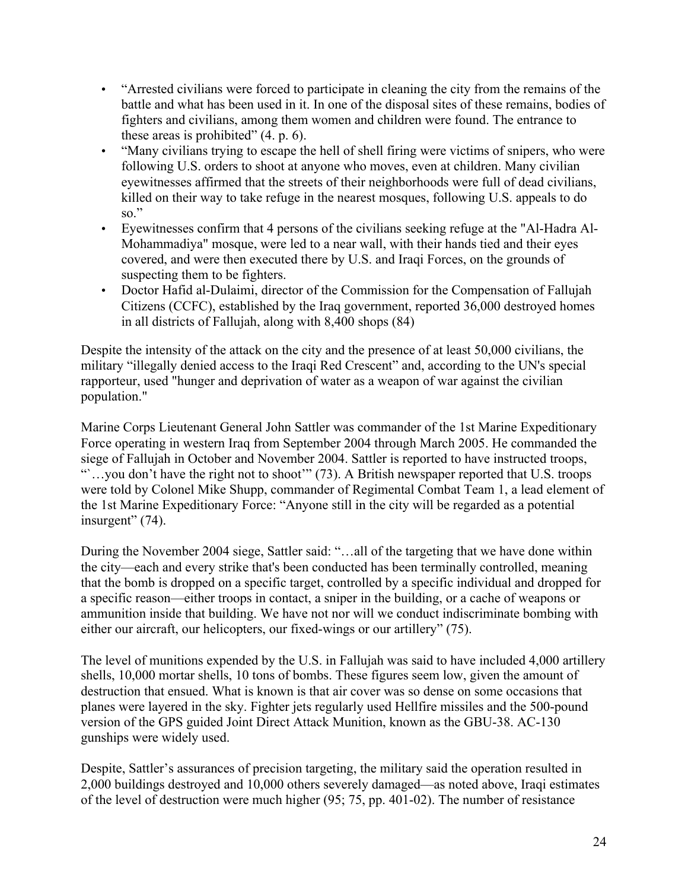- "Arrested civilians were forced to participate in cleaning the city from the remains of the battle and what has been used in it. In one of the disposal sites of these remains, bodies of fighters and civilians, among them women and children were found. The entrance to these areas is prohibited" (4. p. 6).
- "Many civilians trying to escape the hell of shell firing were victims of snipers, who were following U.S. orders to shoot at anyone who moves, even at children. Many civilian eyewitnesses affirmed that the streets of their neighborhoods were full of dead civilians, killed on their way to take refuge in the nearest mosques, following U.S. appeals to do so."
- Eyewitnesses confirm that 4 persons of the civilians seeking refuge at the "Al-Hadra Al-Mohammadiya" mosque, were led to a near wall, with their hands tied and their eyes covered, and were then executed there by U.S. and Iraqi Forces, on the grounds of suspecting them to be fighters.
- Doctor Hafid al-Dulaimi, director of the Commission for the Compensation of Fallujah Citizens (CCFC), established by the Iraq government, reported 36,000 destroyed homes in all districts of Fallujah, along with 8,400 shops (84)

Despite the intensity of the attack on the city and the presence of at least 50,000 civilians, the military "illegally denied access to the Iraqi Red Crescent" and, according to the UN's special rapporteur, used "hunger and deprivation of water as a weapon of war against the civilian population."

Marine Corps Lieutenant General John Sattler was commander of the 1st Marine Expeditionary Force operating in western Iraq from September 2004 through March 2005. He commanded the siege of Fallujah in October and November 2004. Sattler is reported to have instructed troops, "...you don't have the right not to shoot" (73). A British newspaper reported that U.S. troops were told by Colonel Mike Shupp, commander of Regimental Combat Team 1, a lead element of the 1st Marine Expeditionary Force: "Anyone still in the city will be regarded as a potential insurgent" (74).

During the November 2004 siege, Sattler said: "…all of the targeting that we have done within the city—each and every strike that's been conducted has been terminally controlled, meaning that the bomb is dropped on a specific target, controlled by a specific individual and dropped for a specific reason—either troops in contact, a sniper in the building, or a cache of weapons or ammunition inside that building. We have not nor will we conduct indiscriminate bombing with either our aircraft, our helicopters, our fixed-wings or our artillery" (75).

The level of munitions expended by the U.S. in Fallujah was said to have included 4,000 artillery shells, 10,000 mortar shells, 10 tons of bombs. These figures seem low, given the amount of destruction that ensued. What is known is that air cover was so dense on some occasions that planes were layered in the sky. Fighter jets regularly used Hellfire missiles and the 500-pound version of the GPS guided Joint Direct Attack Munition, known as the GBU-38. AC-130 gunships were widely used.

Despite, Sattler's assurances of precision targeting, the military said the operation resulted in 2,000 buildings destroyed and 10,000 others severely damaged—as noted above, Iraqi estimates of the level of destruction were much higher (95; 75, pp. 401-02). The number of resistance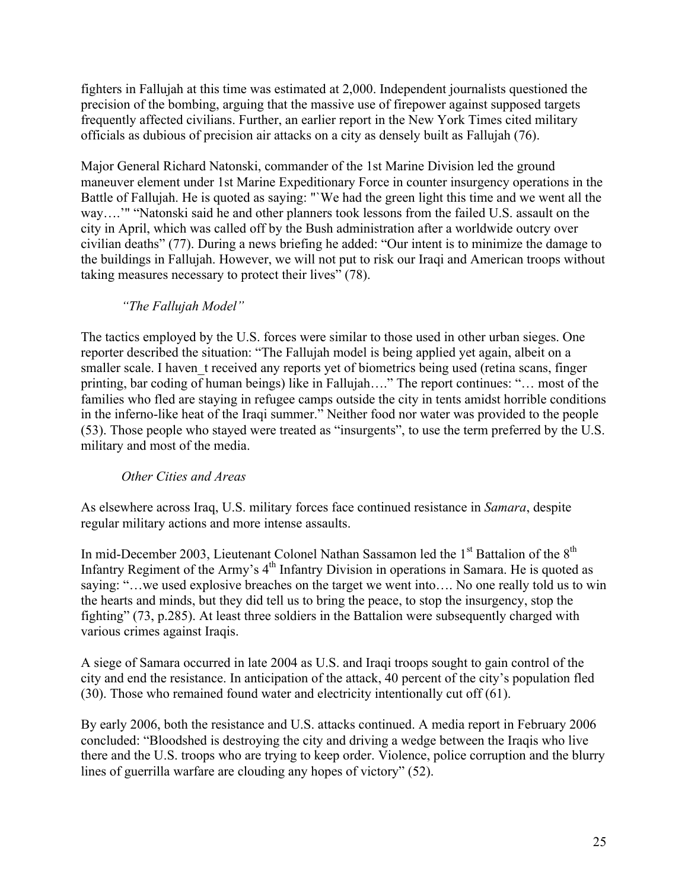fighters in Fallujah at this time was estimated at 2,000. Independent journalists questioned the precision of the bombing, arguing that the massive use of firepower against supposed targets frequently affected civilians. Further, an earlier report in the New York Times cited military officials as dubious of precision air attacks on a city as densely built as Fallujah (76).

Major General Richard Natonski, commander of the 1st Marine Division led the ground maneuver element under 1st Marine Expeditionary Force in counter insurgency operations in the Battle of Fallujah. He is quoted as saying: "We had the green light this time and we went all the way….'" "Natonski said he and other planners took lessons from the failed U.S. assault on the city in April, which was called off by the Bush administration after a worldwide outcry over civilian deaths" (77). During a news briefing he added: "Our intent is to minimize the damage to the buildings in Fallujah. However, we will not put to risk our Iraqi and American troops without taking measures necessary to protect their lives" (78).

### *"The Fallujah Model"*

The tactics employed by the U.S. forces were similar to those used in other urban sieges. One reporter described the situation: "The Fallujah model is being applied yet again, albeit on a smaller scale. I haven t received any reports yet of biometrics being used (retina scans, finger printing, bar coding of human beings) like in Fallujah…." The report continues: "… most of the families who fled are staying in refugee camps outside the city in tents amidst horrible conditions in the inferno-like heat of the Iraqi summer." Neither food nor water was provided to the people (53). Those people who stayed were treated as "insurgents", to use the term preferred by the U.S. military and most of the media.

#### *Other Cities and Areas*

As elsewhere across Iraq, U.S. military forces face continued resistance in *Samara*, despite regular military actions and more intense assaults.

In mid-December 2003, Lieutenant Colonel Nathan Sassamon led the 1<sup>st</sup> Battalion of the 8<sup>th</sup> Infantry Regiment of the Army's  $4<sup>th</sup>$  Infantry Division in operations in Samara. He is quoted as saying: "…we used explosive breaches on the target we went into…. No one really told us to win the hearts and minds, but they did tell us to bring the peace, to stop the insurgency, stop the fighting" (73, p.285). At least three soldiers in the Battalion were subsequently charged with various crimes against Iraqis.

A siege of Samara occurred in late 2004 as U.S. and Iraqi troops sought to gain control of the city and end the resistance. In anticipation of the attack, 40 percent of the city's population fled (30). Those who remained found water and electricity intentionally cut off (61).

By early 2006, both the resistance and U.S. attacks continued. A media report in February 2006 concluded: "Bloodshed is destroying the city and driving a wedge between the Iraqis who live there and the U.S. troops who are trying to keep order. Violence, police corruption and the blurry lines of guerrilla warfare are clouding any hopes of victory" (52).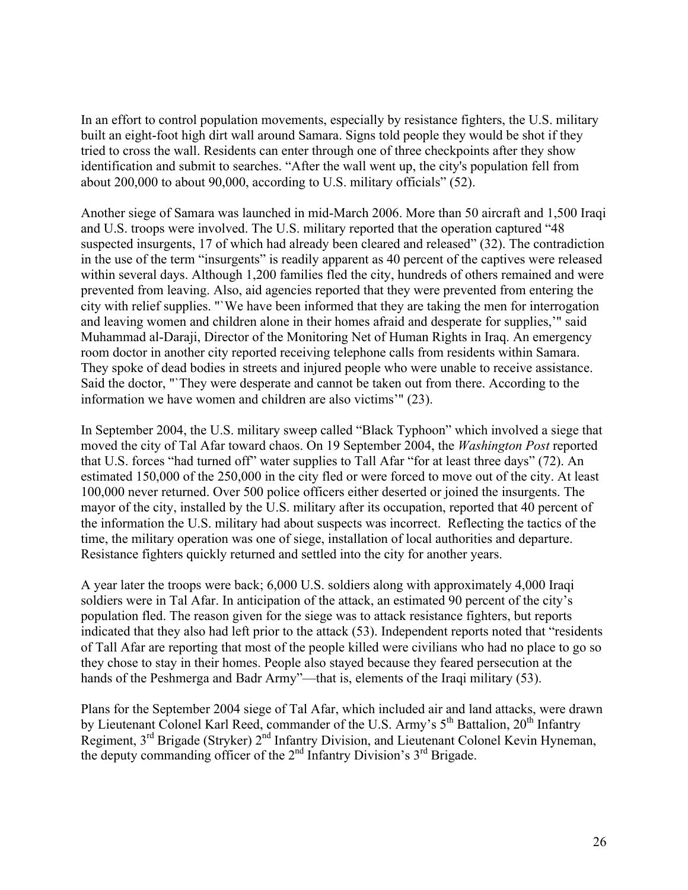In an effort to control population movements, especially by resistance fighters, the U.S. military built an eight-foot high dirt wall around Samara. Signs told people they would be shot if they tried to cross the wall. Residents can enter through one of three checkpoints after they show identification and submit to searches. "After the wall went up, the city's population fell from about 200,000 to about 90,000, according to U.S. military officials" (52).

Another siege of Samara was launched in mid-March 2006. More than 50 aircraft and 1,500 Iraqi and U.S. troops were involved. The U.S. military reported that the operation captured "48 suspected insurgents, 17 of which had already been cleared and released" (32). The contradiction in the use of the term "insurgents" is readily apparent as 40 percent of the captives were released within several days. Although 1,200 families fled the city, hundreds of others remained and were prevented from leaving. Also, aid agencies reported that they were prevented from entering the city with relief supplies. "`We have been informed that they are taking the men for interrogation and leaving women and children alone in their homes afraid and desperate for supplies,'" said Muhammad al-Daraji, Director of the Monitoring Net of Human Rights in Iraq. An emergency room doctor in another city reported receiving telephone calls from residents within Samara. They spoke of dead bodies in streets and injured people who were unable to receive assistance. Said the doctor, "`They were desperate and cannot be taken out from there. According to the information we have women and children are also victims'" (23).

In September 2004, the U.S. military sweep called "Black Typhoon" which involved a siege that moved the city of Tal Afar toward chaos. On 19 September 2004, the *Washington Post* reported that U.S. forces "had turned off" water supplies to Tall Afar "for at least three days" (72). An estimated 150,000 of the 250,000 in the city fled or were forced to move out of the city. At least 100,000 never returned. Over 500 police officers either deserted or joined the insurgents. The mayor of the city, installed by the U.S. military after its occupation, reported that 40 percent of the information the U.S. military had about suspects was incorrect. Reflecting the tactics of the time, the military operation was one of siege, installation of local authorities and departure. Resistance fighters quickly returned and settled into the city for another years.

A year later the troops were back; 6,000 U.S. soldiers along with approximately 4,000 Iraqi soldiers were in Tal Afar. In anticipation of the attack, an estimated 90 percent of the city's population fled. The reason given for the siege was to attack resistance fighters, but reports indicated that they also had left prior to the attack (53). Independent reports noted that "residents of Tall Afar are reporting that most of the people killed were civilians who had no place to go so they chose to stay in their homes. People also stayed because they feared persecution at the hands of the Peshmerga and Badr Army"—that is, elements of the Iraqi military (53).

Plans for the September 2004 siege of Tal Afar, which included air and land attacks, were drawn by Lieutenant Colonel Karl Reed, commander of the U.S. Army's 5<sup>th</sup> Battalion, 20<sup>th</sup> Infantry Regiment,  $3^{rd}$  Brigade (Stryker)  $2^{nd}$  Infantry Division, and Lieutenant Colonel Kevin Hyneman, the deputy commanding officer of the  $2<sup>nd</sup>$  Infantry Division's  $3<sup>rd</sup>$  Brigade.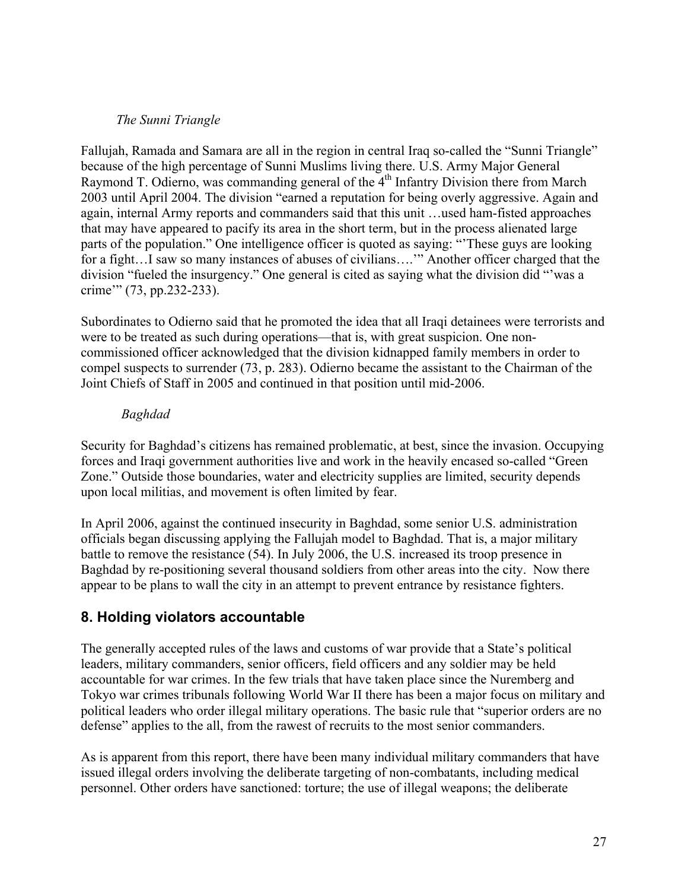#### *The Sunni Triangle*

Fallujah, Ramada and Samara are all in the region in central Iraq so-called the "Sunni Triangle" because of the high percentage of Sunni Muslims living there. U.S. Army Major General Raymond T. Odierno, was commanding general of the  $4<sup>th</sup>$  Infantry Division there from March 2003 until April 2004. The division "earned a reputation for being overly aggressive. Again and again, internal Army reports and commanders said that this unit …used ham-fisted approaches that may have appeared to pacify its area in the short term, but in the process alienated large parts of the population." One intelligence officer is quoted as saying: "'These guys are looking for a fight. I saw so many instances of abuses of civilians...." Another officer charged that the division "fueled the insurgency." One general is cited as saying what the division did "'was a crime'" (73, pp.232-233).

Subordinates to Odierno said that he promoted the idea that all Iraqi detainees were terrorists and were to be treated as such during operations—that is, with great suspicion. One noncommissioned officer acknowledged that the division kidnapped family members in order to compel suspects to surrender (73, p. 283). Odierno became the assistant to the Chairman of the Joint Chiefs of Staff in 2005 and continued in that position until mid-2006.

#### *Baghdad*

Security for Baghdad's citizens has remained problematic, at best, since the invasion. Occupying forces and Iraqi government authorities live and work in the heavily encased so-called "Green Zone." Outside those boundaries, water and electricity supplies are limited, security depends upon local militias, and movement is often limited by fear.

In April 2006, against the continued insecurity in Baghdad, some senior U.S. administration officials began discussing applying the Fallujah model to Baghdad. That is, a major military battle to remove the resistance (54). In July 2006, the U.S. increased its troop presence in Baghdad by re-positioning several thousand soldiers from other areas into the city. Now there appear to be plans to wall the city in an attempt to prevent entrance by resistance fighters.

# **8. Holding violators accountable**

The generally accepted rules of the laws and customs of war provide that a State's political leaders, military commanders, senior officers, field officers and any soldier may be held accountable for war crimes. In the few trials that have taken place since the Nuremberg and Tokyo war crimes tribunals following World War II there has been a major focus on military and political leaders who order illegal military operations. The basic rule that "superior orders are no defense" applies to the all, from the rawest of recruits to the most senior commanders.

As is apparent from this report, there have been many individual military commanders that have issued illegal orders involving the deliberate targeting of non-combatants, including medical personnel. Other orders have sanctioned: torture; the use of illegal weapons; the deliberate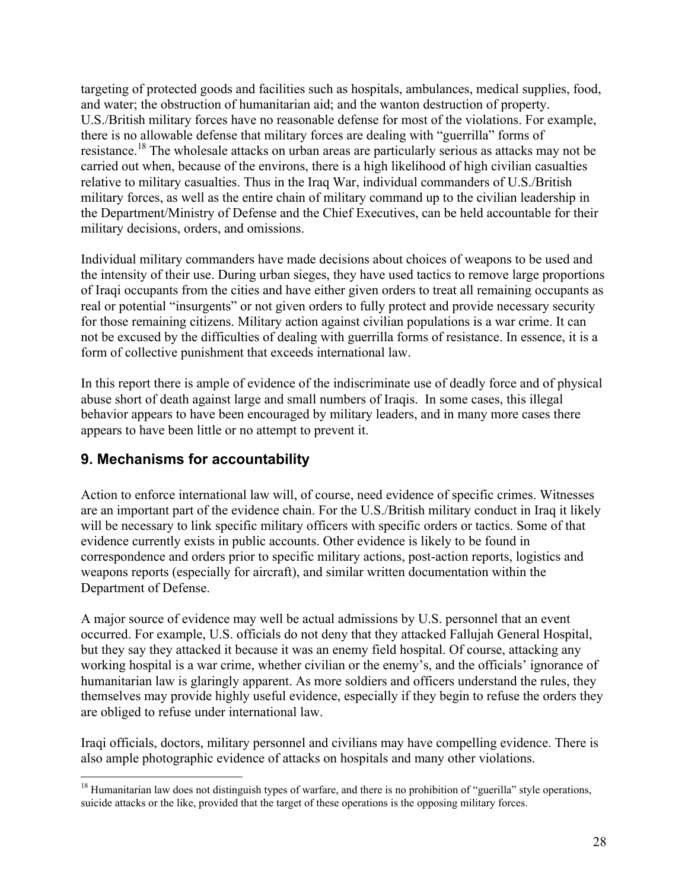targeting of protected goods and facilities such as hospitals, ambulances, medical supplies, food, and water; the obstruction of humanitarian aid; and the wanton destruction of property. U.S./British military forces have no reasonable defense for most of the violations. For example, there is no allowable defense that military forces are dealing with "guerrilla" forms of resistance.<sup>18</sup> The wholesale attacks on urban areas are particularly serious as attacks may not be carried out when, because of the environs, there is a high likelihood of high civilian casualties relative to military casualties. Thus in the Iraq War, individual commanders of U.S./British military forces, as well as the entire chain of military command up to the civilian leadership in the Department/Ministry of Defense and the Chief Executives, can be held accountable for their military decisions, orders, and omissions.

Individual military commanders have made decisions about choices of weapons to be used and the intensity of their use. During urban sieges, they have used tactics to remove large proportions of Iraqi occupants from the cities and have either given orders to treat all remaining occupants as real or potential "insurgents" or not given orders to fully protect and provide necessary security for those remaining citizens. Military action against civilian populations is a war crime. It can not be excused by the difficulties of dealing with guerrilla forms of resistance. In essence, it is a form of collective punishment that exceeds international law.

In this report there is ample of evidence of the indiscriminate use of deadly force and of physical abuse short of death against large and small numbers of Iraqis. In some cases, this illegal behavior appears to have been encouraged by military leaders, and in many more cases there appears to have been little or no attempt to prevent it.

# **9. Mechanisms for accountability**

Action to enforce international law will, of course, need evidence of specific crimes. Witnesses are an important part of the evidence chain. For the U.S./British military conduct in Iraq it likely will be necessary to link specific military officers with specific orders or tactics. Some of that evidence currently exists in public accounts. Other evidence is likely to be found in correspondence and orders prior to specific military actions, post-action reports, logistics and weapons reports (especially for aircraft), and similar written documentation within the Department of Defense.

A major source of evidence may well be actual admissions by U.S. personnel that an event occurred. For example, U.S. officials do not deny that they attacked Fallujah General Hospital, but they say they attacked it because it was an enemy field hospital. Of course, attacking any working hospital is a war crime, whether civilian or the enemy's, and the officials' ignorance of humanitarian law is glaringly apparent. As more soldiers and officers understand the rules, they themselves may provide highly useful evidence, especially if they begin to refuse the orders they are obliged to refuse under international law.

Iraqi officials, doctors, military personnel and civilians may have compelling evidence. There is also ample photographic evidence of attacks on hospitals and many other violations.

<sup>&</sup>lt;sup>18</sup> Humanitarian law does not distinguish types of warfare, and there is no prohibition of "guerilla" style operations, suicide attacks or the like, provided that the target of these operations is the opposing military forces.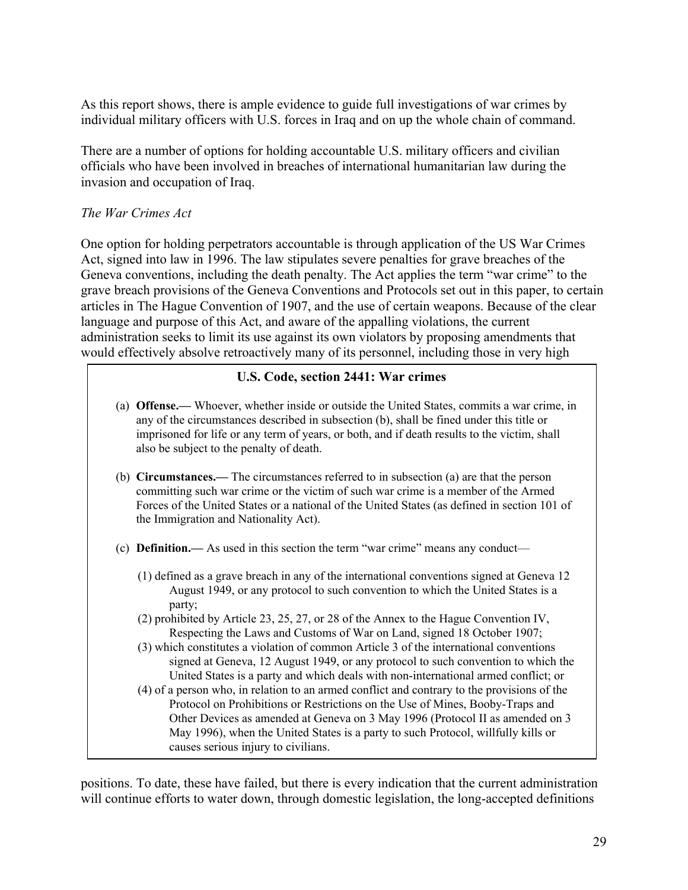As this report shows, there is ample evidence to guide full investigations of war crimes by individual military officers with U.S. forces in Iraq and on up the whole chain of command.

There are a number of options for holding accountable U.S. military officers and civilian officials who have been involved in breaches of international humanitarian law during the invasion and occupation of Iraq.

### *The War Crimes Act*

One option for holding perpetrators accountable is through application of the US War Crimes Act, signed into law in 1996. The law stipulates severe penalties for grave breaches of the Geneva conventions, including the death penalty. The Act applies the term "war crime" to the grave breach provisions of the Geneva Conventions and Protocols set out in this paper, to certain articles in The Hague Convention of 1907, and the use of certain weapons. Because of the clear language and purpose of this Act, and aware of the appalling violations, the current administration seeks to limit its use against its own violators by proposing amendments that would effectively absolve retroactively many of its personnel, including those in very high

#### U.S. Code, section 2441: War crimes

- (a) Offense.— Whoever, whether inside or outside the United States, commits a war crime, in any of the circumstances described in subsection (b), shall be fined under this title or imprisoned for life or any term of years, or both, and if death results to the victim, shall also be subject to the penalty of death.
- (b) Circumstances.— The circumstances referred to in subsection (a) are that the person committing such war crime or the victim of such war crime is a member of the Armed Forces of the United States or a national of the United States (as defined in section 101 of the Immigration and Nationality Act).
- (c) Definition.— As used in this section the term "war crime" means any conduct—
	- (1) defined as a grave breach in any of the international conventions signed at Geneva 12 August 1949, or any protocol to such convention to which the United States is a party;
	- (2) prohibited by Article 23, 25, 27, or 28 of the Annex to the Hague Convention IV, Respecting the Laws and Customs of War on Land, signed 18 October 1907;
	- (3) which constitutes a violation of common Article 3 of the international conventions signed at Geneva, 12 August 1949, or any protocol to such convention to which the United States is a party and which deals with non-international armed conflict; or
	- (4) of a person who, in relation to an armed conflict and contrary to the provisions of the Protocol on Prohibitions or Restrictions on the Use of Mines, Booby-Traps and Other Devices as amended at Geneva on 3 May 1996 (Protocol II as amended on 3 May 1996), when the United States is a party to such Protocol, willfully kills or causes serious injury to civilians.

positions. To date, these have failed, but there is every indication that the current administration will continue efforts to water down, through domestic legislation, the long-accepted definitions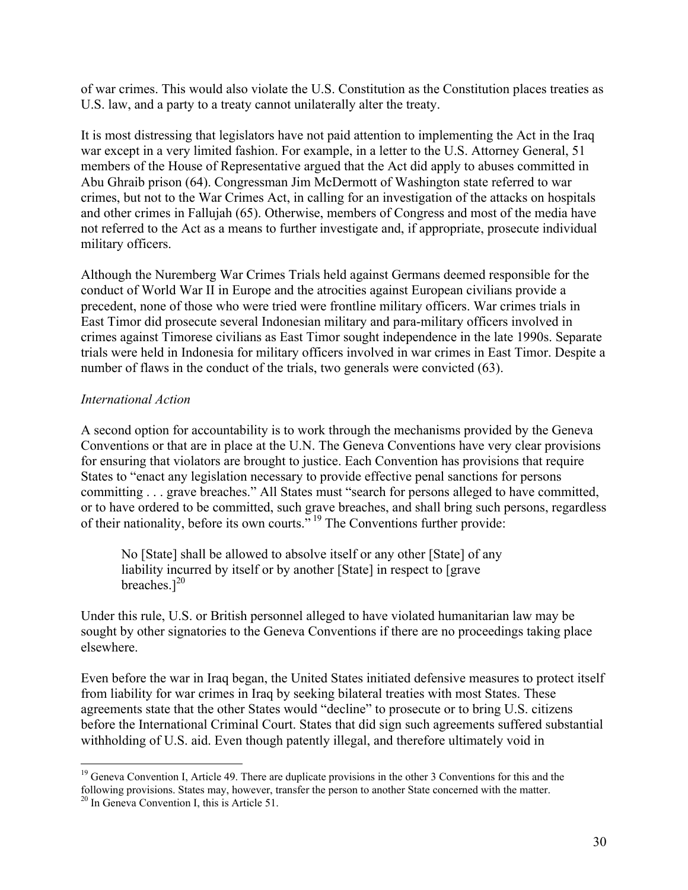of war crimes. This would also violate the U.S. Constitution as the Constitution places treaties as U.S. law, and a party to a treaty cannot unilaterally alter the treaty.

It is most distressing that legislators have not paid attention to implementing the Act in the Iraq war except in a very limited fashion. For example, in a letter to the U.S. Attorney General, 51 members of the House of Representative argued that the Act did apply to abuses committed in Abu Ghraib prison (64). Congressman Jim McDermott of Washington state referred to war crimes, but not to the War Crimes Act, in calling for an investigation of the attacks on hospitals and other crimes in Fallujah (65). Otherwise, members of Congress and most of the media have not referred to the Act as a means to further investigate and, if appropriate, prosecute individual military officers.

Although the Nuremberg War Crimes Trials held against Germans deemed responsible for the conduct of World War II in Europe and the atrocities against European civilians provide a precedent, none of those who were tried were frontline military officers. War crimes trials in East Timor did prosecute several Indonesian military and para-military officers involved in crimes against Timorese civilians as East Timor sought independence in the late 1990s. Separate trials were held in Indonesia for military officers involved in war crimes in East Timor. Despite a number of flaws in the conduct of the trials, two generals were convicted (63).

#### *International Action*

A second option for accountability is to work through the mechanisms provided by the Geneva Conventions or that are in place at the U.N. The Geneva Conventions have very clear provisions for ensuring that violators are brought to justice. Each Convention has provisions that require States to "enact any legislation necessary to provide effective penal sanctions for persons committing . . . grave breaches." All States must "search for persons alleged to have committed, or to have ordered to be committed, such grave breaches, and shall bring such persons, regardless of their nationality, before its own courts."<sup>19</sup> The Conventions further provide:

No [State] shall be allowed to absolve itself or any other [State] of any liability incurred by itself or by another [State] in respect to [grave breaches. $]^{20}$ 

Under this rule, U.S. or British personnel alleged to have violated humanitarian law may be sought by other signatories to the Geneva Conventions if there are no proceedings taking place elsewhere.

Even before the war in Iraq began, the United States initiated defensive measures to protect itself from liability for war crimes in Iraq by seeking bilateral treaties with most States. These agreements state that the other States would "decline" to prosecute or to bring U.S. citizens before the International Criminal Court. States that did sign such agreements suffered substantial withholding of U.S. aid. Even though patently illegal, and therefore ultimately void in

<sup>&</sup>lt;sup>19</sup> Geneva Convention I, Article 49. There are duplicate provisions in the other 3 Conventions for this and the following provisions. States may, however, transfer the person to another State concerned with the matter.

<sup>&</sup>lt;sup>20</sup> In Geneva Convention I, this is Article 51.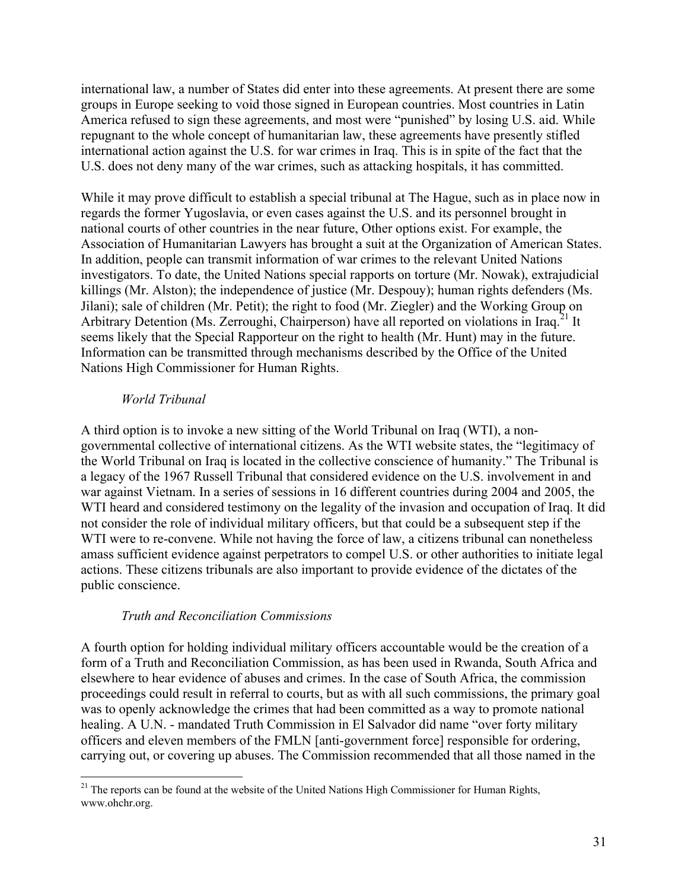international law, a number of States did enter into these agreements. At present there are some groups in Europe seeking to void those signed in European countries. Most countries in Latin America refused to sign these agreements, and most were "punished" by losing U.S. aid. While repugnant to the whole concept of humanitarian law, these agreements have presently stifled international action against the U.S. for war crimes in Iraq. This is in spite of the fact that the U.S. does not deny many of the war crimes, such as attacking hospitals, it has committed.

While it may prove difficult to establish a special tribunal at The Hague, such as in place now in regards the former Yugoslavia, or even cases against the U.S. and its personnel brought in national courts of other countries in the near future, Other options exist. For example, the Association of Humanitarian Lawyers has brought a suit at the Organization of American States. In addition, people can transmit information of war crimes to the relevant United Nations investigators. To date, the United Nations special rapports on torture (Mr. Nowak), extrajudicial killings (Mr. Alston); the independence of justice (Mr. Despouy); human rights defenders (Ms. Jilani); sale of children (Mr. Petit); the right to food (Mr. Ziegler) and the Working Group on Arbitrary Detention (Ms. Zerroughi, Chairperson) have all reported on violations in Iraq.<sup>21</sup> It seems likely that the Special Rapporteur on the right to health (Mr. Hunt) may in the future. Information can be transmitted through mechanisms described by the Office of the United Nations High Commissioner for Human Rights.

#### *World Tribunal*

A third option is to invoke a new sitting of the World Tribunal on Iraq (WTI), a nongovernmental collective of international citizens. As the WTI website states, the "legitimacy of the World Tribunal on Iraq is located in the collective conscience of humanity." The Tribunal is a legacy of the 1967 Russell Tribunal that considered evidence on the U.S. involvement in and war against Vietnam. In a series of sessions in 16 different countries during 2004 and 2005, the WTI heard and considered testimony on the legality of the invasion and occupation of Iraq. It did not consider the role of individual military officers, but that could be a subsequent step if the WTI were to re-convene. While not having the force of law, a citizens tribunal can nonetheless amass sufficient evidence against perpetrators to compel U.S. or other authorities to initiate legal actions. These citizens tribunals are also important to provide evidence of the dictates of the public conscience.

#### *Truth and Reconciliation Commissions*

A fourth option for holding individual military officers accountable would be the creation of a form of a Truth and Reconciliation Commission, as has been used in Rwanda, South Africa and elsewhere to hear evidence of abuses and crimes. In the case of South Africa, the commission proceedings could result in referral to courts, but as with all such commissions, the primary goal was to openly acknowledge the crimes that had been committed as a way to promote national healing. A U.N. - mandated Truth Commission in El Salvador did name "over forty military officers and eleven members of the FMLN [anti-government force] responsible for ordering, carrying out, or covering up abuses. The Commission recommended that all those named in the

<sup>&</sup>lt;sup>21</sup> The reports can be found at the website of the United Nations High Commissioner for Human Rights, www.ohchr.org.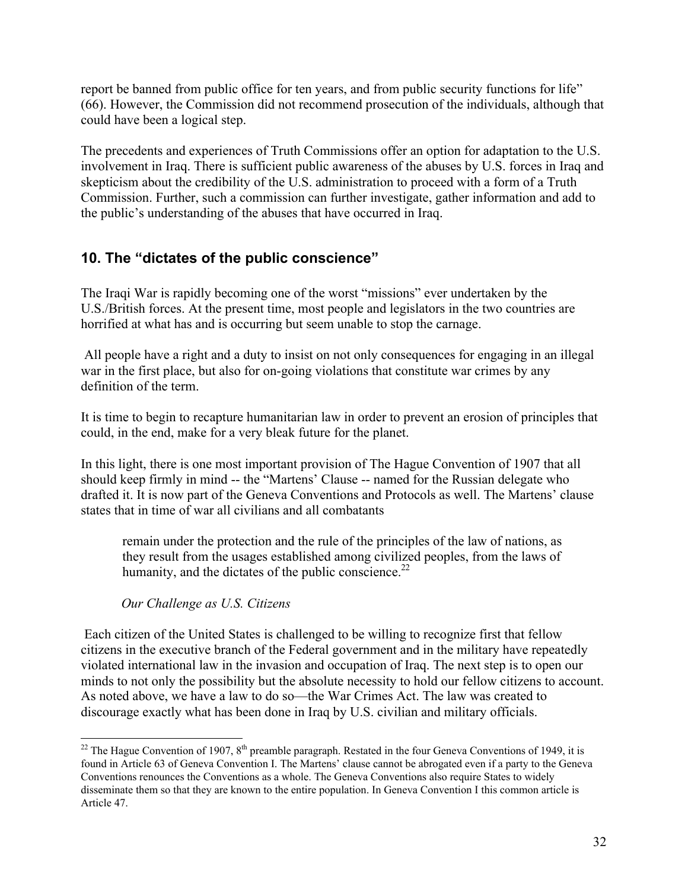report be banned from public office for ten years, and from public security functions for life" (66). However, the Commission did not recommend prosecution of the individuals, although that could have been a logical step.

The precedents and experiences of Truth Commissions offer an option for adaptation to the U.S. involvement in Iraq. There is sufficient public awareness of the abuses by U.S. forces in Iraq and skepticism about the credibility of the U.S. administration to proceed with a form of a Truth Commission. Further, such a commission can further investigate, gather information and add to the public's understanding of the abuses that have occurred in Iraq.

# **10. The "dictates of the public conscience"**

The Iraqi War is rapidly becoming one of the worst "missions" ever undertaken by the U.S./British forces. At the present time, most people and legislators in the two countries are horrified at what has and is occurring but seem unable to stop the carnage.

 All people have a right and a duty to insist on not only consequences for engaging in an illegal war in the first place, but also for on-going violations that constitute war crimes by any definition of the term.

It is time to begin to recapture humanitarian law in order to prevent an erosion of principles that could, in the end, make for a very bleak future for the planet.

In this light, there is one most important provision of The Hague Convention of 1907 that all should keep firmly in mind -- the "Martens' Clause -- named for the Russian delegate who drafted it. It is now part of the Geneva Conventions and Protocols as well. The Martens' clause states that in time of war all civilians and all combatants

remain under the protection and the rule of the principles of the law of nations, as they result from the usages established among civilized peoples, from the laws of humanity, and the dictates of the public conscience.<sup>22</sup>

*Our Challenge as U.S. Citizens*

 Each citizen of the United States is challenged to be willing to recognize first that fellow citizens in the executive branch of the Federal government and in the military have repeatedly violated international law in the invasion and occupation of Iraq. The next step is to open our minds to not only the possibility but the absolute necessity to hold our fellow citizens to account. As noted above, we have a law to do so—the War Crimes Act. The law was created to discourage exactly what has been done in Iraq by U.S. civilian and military officials.

<sup>&</sup>lt;sup>22</sup> The Hague Convention of 1907,  $8^{th}$  preamble paragraph. Restated in the four Geneva Conventions of 1949, it is found in Article 63 of Geneva Convention I. The Martens' clause cannot be abrogated even if a party to the Geneva Conventions renounces the Conventions as a whole. The Geneva Conventions also require States to widely disseminate them so that they are known to the entire population. In Geneva Convention I this common article is Article 47.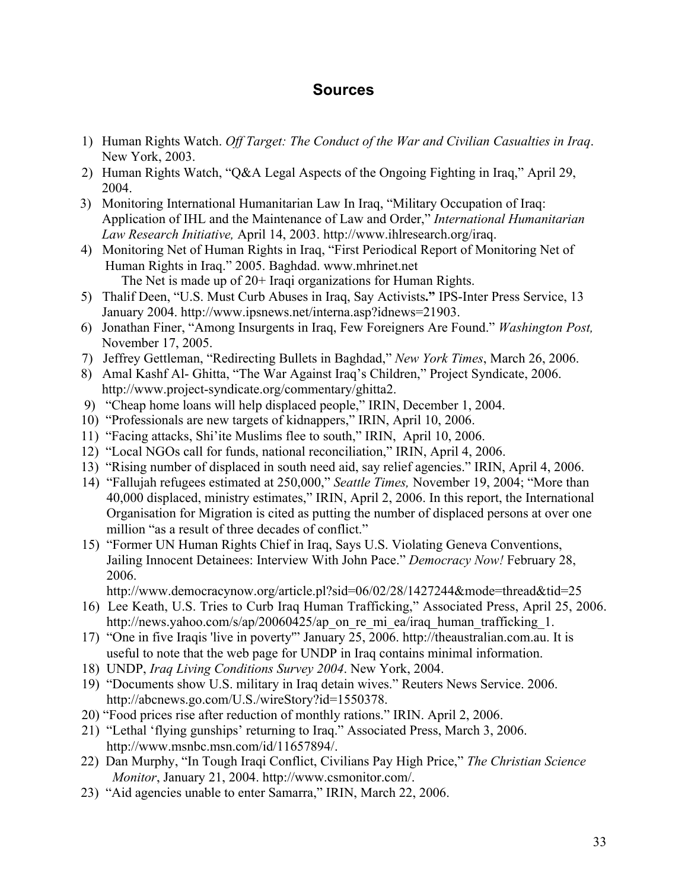# **Sources**

- 1) Human Rights Watch. *Off Target: The Conduct of the War and Civilian Casualties in Iraq*. New York, 2003.
- 2) Human Rights Watch, "Q&A Legal Aspects of the Ongoing Fighting in Iraq," April 29, 2004.
- 3) Monitoring International Humanitarian Law In Iraq, "Military Occupation of Iraq: Application of IHL and the Maintenance of Law and Order," *International Humanitarian Law Research Initiative,* April 14, 2003. [http://www.ihlresearch.org/iraq.](http://www.ihlresearch.org/iraq)
- 4) Monitoring Net of Human Rights in Iraq, "First Periodical Report of Monitoring Net of Human Rights in Iraq." 2005. Baghdad. www.mhrinet.net The Net is made up of 20+ Iraqi organizations for Human Rights.
- 5) Thalif Deen, "U.S. Must Curb Abuses in Iraq, Say Activists." IPS-Inter Press Service, 13 January 2004. [http://www.ipsnews.net/interna.asp?idnews=21903.](http://www.ipsnews.net/interna.asp?idnews=21903)
- 6) Jonathan Finer, "Among Insurgents in Iraq, Few Foreigners Are Found." *Washington Post,* November 17, 2005.
- 7) Jeffrey Gettleman, "Redirecting Bullets in Baghdad," *New York Times*, March 26, 2006.
- 8) Amal Kashf Al- Ghitta, "The War Against Iraq's Children," Project Syndicate, 2006. [http://www.project-syndicate.org/commentary/ghitta2.](http://www.project-syndicate.org/commentary/ghitta2)
- 9) "Cheap home loans will help displaced people," IRIN, December 1, 2004.
- 10) "Professionals are new targets of kidnappers," IRIN, April 10, 2006.
- 11) "Facing attacks, Shi'ite Muslims flee to south," IRIN, April 10, 2006.
- 12) "Local NGOs call for funds, national reconciliation," IRIN, April 4, 2006.
- 13) "Rising number of displaced in south need aid, say relief agencies." IRIN, April 4, 2006.
- 14) "Fallujah refugees estimated at 250,000," *Seattle Times,* November 19, 2004; "More than 40,000 displaced, ministry estimates," IRIN, April 2, 2006. In this report, the International Organisation for Migration is cited as putting the number of displaced persons at over one million "as a result of three decades of conflict."
- 15) "Former UN Human Rights Chief in Iraq, Says U.S. Violating Geneva Conventions, Jailing Innocent Detainees: Interview With John Pace." *Democracy Now!* February 28, 2006.

<http://www.democracynow.org/article.pl?sid=06/02/28/1427244&mode=thread&tid=25>

- 16) Lee Keath, U.S. Tries to Curb Iraq Human Trafficking," Associated Press, April 25, 2006. [http://news.yahoo.com/s/ap/20060425/ap\\_on\\_re\\_mi\\_ea/iraq\\_human\\_trafficking\\_1.](http://news.yahoo.com/s/ap/20060425/ap_on_re_mi_ea/iraq_human_trafficking_1)
- 17) "One in five Iraqis 'live in poverty'" January 25, 2006. [http://theaustralian.com.au.](http://theaustralian.com.au) It is useful to note that the web page for UNDP in Iraq contains minimal information.
- 18) UNDP, *Iraq Living Conditions Survey 2004*. New York, 2004.
- 19) "Documents show U.S. military in Iraq detain wives." Reuters News Service. 2006. [http://abcnews.go.com/U.S./wireStory?id=1550378.](http://abcnews.go.com/U.S./wireStory?id=1550378)
- 20) "Food prices rise after reduction of monthly rations." IRIN. April 2, 2006.
- 21) "Lethal 'flying gunships' returning to Iraq." Associated Press, March 3, 2006. [http://www.msnbc.msn.com/id/11657894/.](http://www.msnbc.msn.com/id/11657894/)
- 22) Dan Murphy, "In Tough Iraqi Conflict, Civilians Pay High Price," *The Christian Science Monitor*, January 21, 2004. [http://www.csmonitor.com/.](http://www.csmonitor.com/)
- 23) "Aid agencies unable to enter Samarra," IRIN, March 22, 2006.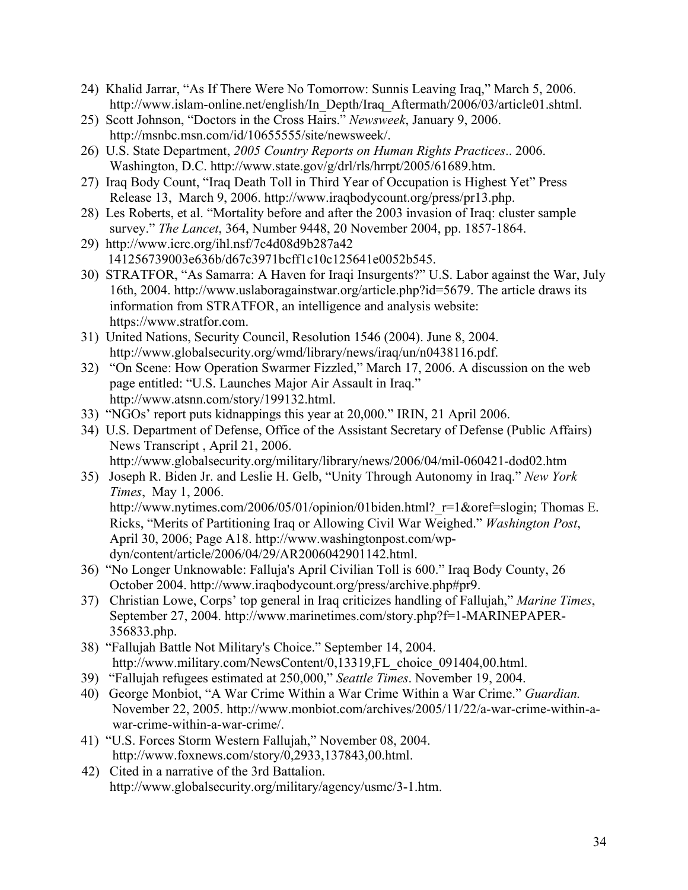- 24) Khalid Jarrar, "As If There Were No Tomorrow: Sunnis Leaving Iraq," March 5, 2006. http://www.islam-online.net/english/In Depth/Iraq Aftermath/2006/03/article01.shtml.
- 25) Scott Johnson, "Doctors in the Cross Hairs." *Newsweek*, January 9, 2006. [http://msnbc.msn.com/id/10655555/site/newsweek/.](http://msnbc.msn.com/id/10655555/site/newsweek/)
- 26) U.S. State Department, *2005 Country Reports on Human Rights Practices*.. 2006. Washington, D.C. [http://www.state.gov/g/drl/rls/hrrpt/2005/61689.htm.](http://www.state.gov/g/drl/rls/hrrpt/2005/61689.htm)
- 27) Iraq Body Count, "Iraq Death Toll in Third Year of Occupation is Highest Yet" Press Release 13, March 9, 2006. [http://www.iraqbodycount.org/press/pr13.php.](http://www.iraqbodycount.org/press/pr13.php)
- 28) Les Roberts, et al. "Mortality before and after the 2003 invasion of Iraq: cluster sample survey." *The Lancet*, 364, Number 9448, 20 November 2004, pp. 1857-1864.
- 29) <http://www.icrc.org/ihl.nsf/7c4d08d9b287a42> 141256739003e636b/d67c3971bcff1c10c125641e0052b545.
- 30) STRATFOR, "As Samarra: A Haven for Iraqi Insurgents?" U.S. Labor against the War, July 16th, 2004. [http://www.uslaboragainstwar.org/article.php?id=5679.](http://www.uslaboragainstwar.org/article.php?id=5679) The article draws its information from STRATFOR, an intelligence and analysis website: [https://www.stratfor.com.](https://www.stratfor.com)
- 31) United Nations, Security Council, Resolution 1546 (2004). June 8, 2004. [http://www.globalsecurity.org/wmd/library/news/iraq/un/n0438116.pdf.](http://www.globalsecurity.org/wmd/library/news/iraq/un/n0438116.pdf)
- 32) "On Scene: How Operation Swarmer Fizzled," March 17, 2006. A discussion on the web page entitled: "U.S. Launches Major Air Assault in Iraq." [http://www.atsnn.com/story/199132.html.](http://www.atsnn.com/story/199132.html)
- 33) "NGOs' report puts kidnappings this year at 20,000." IRIN, 21 April 2006.
- 34) U.S. Department of Defense, Office of the Assistant Secretary of Defense (Public Affairs) News Transcript , April 21, 2006.

<http://www.globalsecurity.org/military/library/news/2006/04/mil-060421-dod02.htm>

- 35) Joseph R. Biden Jr. and Leslie H. Gelb, "Unity Through Autonomy in Iraq." *New York Times*, May 1, 2006. http://www.nytimes.com/2006/05/01/opinion/01biden.html? $r=1$ &oref=slogin; Thomas E. Ricks, "Merits of Partitioning Iraq or Allowing Civil War Weighed." *Washington Post*, [April 30, 2006; Page A18. http://www.washingtonpost.com/wp](http://www.washingtonpost.com/wpdyn/content/article/2006/04/29/AR2006042901142.html)dyn/content/article/2006/04/29/AR2006042901142.html.
- 36) "No Longer Unknowable: Falluja's April Civilian Toll is 600." Iraq Body County, 26 October 2004. [http://www.iraqbodycount.org/press/archive.php#pr9.](http://www.iraqbodycount.org/press/archive.php#pr9)
- 37) Christian Lowe, Corps' top general in Iraq criticizes handling of Fallujah," *Marine Times*, September 27, 2004.<http://www.marinetimes.com/story.php?f=1-MARINEPAPER->356833.php.
- 38) "Fallujah Battle Not Military's Choice." September 14, 2004. [http://www.military.com/NewsContent/0,13319,FL\\_choice\\_091404,00.html.](http://www.military.com/NewsContent/0,13319,FL_choice_091404,00.html)
- 39) "Fallujah refugees estimated at 250,000," *Seattle Times*. November 19, 2004.
- 40) George Monbiot, "A War Crime Within a War Crime Within a War Crime." *Guardian.* [November 22, 2005. http://www.monbiot.com/archives/2005/11/22/a-war-crime-within-a](http://www.monbiot.com/archives/2005/11/22/a-war-crime-within-awar-crime-within-a-war-crime/)war-crime-within-a-war-crime/.
- 41) "U.S. Forces Storm Western Fallujah," November 08, 2004. [http://www.foxnews.com/story/0,2933,137843,00.html.](http://www.foxnews.com/story/0,2933,137843,00.html)
- 42) Cited in a narrative of the 3rd Battalion. <http://www.globalsecurity.org/military/agency/usmc/3-1.htm.>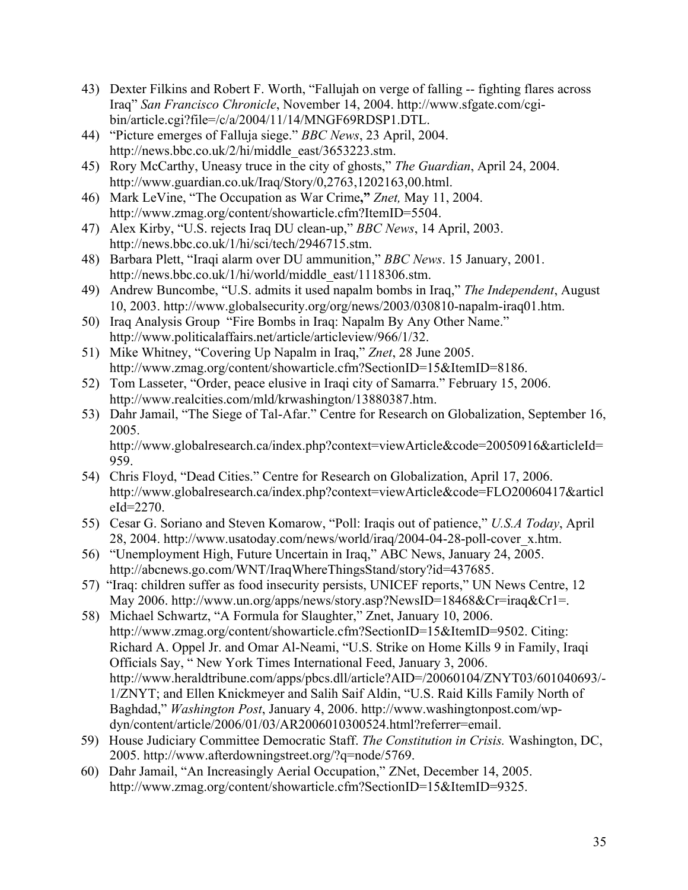- 43) Dexter Filkins and Robert F. Worth, "Fallujah on verge of falling -- fighting flares across Iraq" *San Francisco Chronicle*, November 14, 2004. http://www.sfgate.com/cgi[bin/article.cgi?file=/c/a/2004/11/14/MNGF69RDSP1.DTL.](http://www.sfgate.com/cgibin/article.cgi?file=/c/a/2004/11/14/MNGF69RDSP1.DTL)
- 44) "Picture emerges of Falluja siege." *BBC News*, 23 April, 2004. [http://news.bbc.co.uk/2/hi/middle\\_east/3653223.stm.](http://news.bbc.co.uk/2/hi/middle_east/3653223.stm)
- 45) Rory McCarthy, Uneasy truce in the city of ghosts," *The Guardian*, April 24, 2004. [http://www.guardian.co.uk/Iraq/Story/0,2763,1202163,00.html.](http://www.guardian.co.uk/Iraq/Story/0,2763,1202163,00.html)
- 46) Mark LeVine, "The Occupation as War Crime," *Znet,* May 11, 2004. [http://www.zmag.org/content/showarticle.cfm?ItemID=5504.](http://www.zmag.org/content/showarticle.cfm?ItemID=5504)
- 47) Alex Kirby, "U.S. rejects Iraq DU clean-up," *BBC News*, 14 April, 2003. [http://news.bbc.co.uk/1/hi/sci/tech/2946715.stm.](http://news.bbc.co.uk/1/hi/sci/tech/2946715.stm)
- 48) Barbara Plett, "Iraqi alarm over DU ammunition," *BBC News*. 15 January, 2001. [http://news.bbc.co.uk/1/hi/world/middle\\_east/1118306.stm.](http://news.bbc.co.uk/1/hi/world/middle_east/1118306.stm)
- 49) Andrew Buncombe, "U.S. admits it used napalm bombs in Iraq," *The Independent*, August 10, 2003. [http://www.globalsecurity.org/org/news/2003/030810-napalm-iraq01.htm.](http://www.globalsecurity.org/org/news/2003/030810-napalm-iraq01.htm)
- 50) Iraq Analysis Group "Fire Bombs in Iraq: Napalm By Any Other Name." [http://www.politicalaffairs.net/article/articleview/966/1/32.](http://www.politicalaffairs.net/article/articleview/966/1/32)
- 51) Mike Whitney, "Covering Up Napalm in Iraq," *Znet*, 28 June 2005. [http://www.zmag.org/content/showarticle.cfm?SectionID=15&ItemID=8186.](http://www.zmag.org/content/showarticle.cfm?SectionID=15&ItemID=8186)
- 52) Tom Lasseter, "Order, peace elusive in Iraqi city of Samarra." February 15, 2006. [http://www.realcities.com/mld/krwashington/13880387.htm.](http://www.realcities.com/mld/krwashington/13880387.htm)
- 53) Dahr Jamail, "The Siege of Tal-Afar." Centre for Research on Globalization, September 16, 2005.

<http://www.globalresearch.ca/index.php?context=viewArticle&code=20050916&articleId=> 959.

- 54) Chris Floyd, "Dead Cities." Centre for Research on Globalization, April 17, 2006. <http://www.globalresearch.ca/index.php?context=viewArticle&code=FLO20060417&articl> eId=2270.
- 55) Cesar G. Soriano and Steven Komarow, "Poll: Iraqis out of patience," *U.S.A Today*, April 28, 2004. [http://www.usatoday.com/news/world/iraq/2004-04-28-poll-cover\\_x.htm.](http://www.usatoday.com/news/world/iraq/2004-04-28-poll-cover_x.htm)
- 56) "Unemployment High, Future Uncertain in Iraq," ABC News, January 24, 2005. [http://abcnews.go.com/WNT/IraqWhereThingsStand/story?id=437685.](http://abcnews.go.com/WNT/IraqWhereThingsStand/story?id=437685)
- 57) "Iraq: children suffer as food insecurity persists, UNICEF reports," UN News Centre, 12 May 2006. [http://www.un.org/apps/news/story.asp?NewsID=18468&Cr=iraq&Cr1=.](http://www.un.org/apps/news/story.asp?NewsID=18468&Cr=iraq&Cr1=)
- 58) Michael Schwartz, "A Formula for Slaughter," Znet, January 10, 2006. [http://www.zmag.org/content/showarticle.cfm?SectionID=15&ItemID=9502.](http://www.zmag.org/content/showarticle.cfm?SectionID=15&ItemID=9502) Citing: Richard A. Oppel Jr. and Omar Al-Neami, "U.S. Strike on Home Kills 9 in Family, Iraqi Officials Say, " New York Times International Feed, January 3, 2006. <http://www.heraldtribune.com/apps/pbcs.dll/article?AID=/20060104/ZNYT03/601040693/-> 1/ZNYT; and Ellen Knickmeyer and Salih Saif Aldin, "U.S. Raid Kills Family North of Baghdad," *Washington Post*, January 4, 2006. http://www.washingtonpost.com/wp[dyn/content/article/2006/01/03/AR2006010300524.html?referrer=email.](http://www.washingtonpost.com/wpdyn/content/article/2006/01/03/AR2006010300524.html?referrer=email)
- 59) House Judiciary Committee Democratic Staff. *The Constitution in Crisis.* Washington, DC, 2005. [http://www.afterdowningstreet.org/?q=node/5769.](http://www.afterdowningstreet.org/?q=node/5769)
- 60) Dahr Jamail, "An Increasingly Aerial Occupation," ZNet, December 14, 2005. <http://www.zmag.org/content/showarticle.cfm?SectionID=15&ItemID=9325.>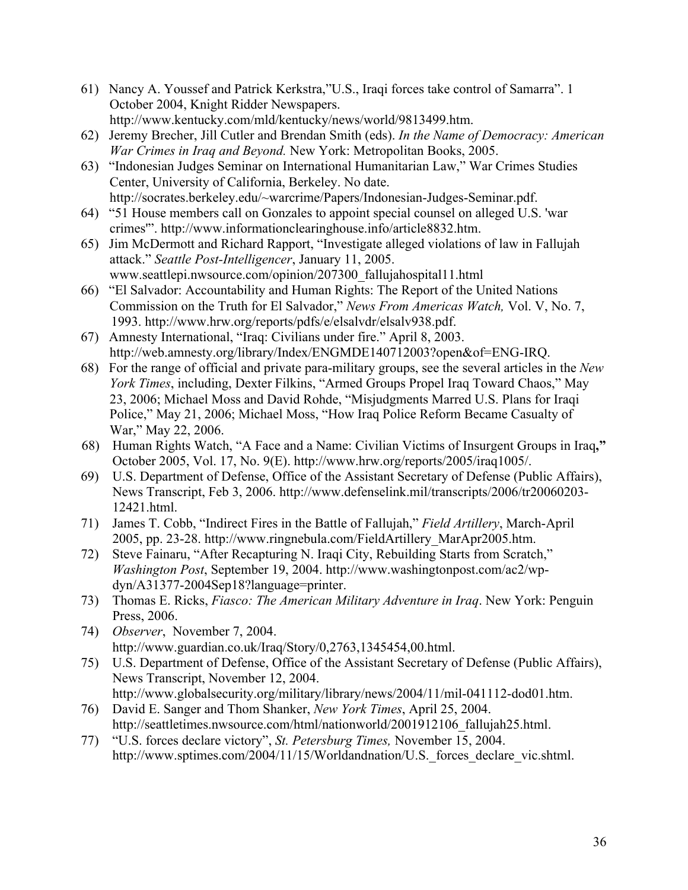- 61) Nancy A. Youssef and Patrick Kerkstra,"U.S., Iraqi forces take control of Samarra". 1 October 2004, Knight Ridder Newspapers. [http://www.kentucky.com/mld/kentucky/news/world/9813499.htm.](http://www.kentucky.com/mld/kentucky/news/world/9813499.htm)
- 62) Jeremy Brecher, Jill Cutler and Brendan Smith (eds). *In the Name of Democracy: American War Crimes in Iraq and Beyond.* New York: Metropolitan Books, 2005.
- 63) "Indonesian Judges Seminar on International Humanitarian Law," War Crimes Studies Center, University of California, Berkeley. No date. [http://socrates.berkeley.edu/~warcrime/Papers/Indonesian-Judges-Seminar.pdf.](http://socrates.berkeley.edu/~warcrime/Papers/Indonesian-Judges-Seminar.pdf)
- 64) "51 House members call on Gonzales to appoint special counsel on alleged U.S. 'war crimes'". [http://www.informationclearinghouse.info/article8832.htm.](http://www.informationclearinghouse.info/article8832.htm)
- 65) Jim McDermott and Richard Rapport, "Investigate alleged violations of law in Fallujah attack." *Seattle Post-Intelligencer*, January 11, 2005. www.seattlepi.nwsource.com/opinion/207300\_fallujahospital11.html
- 66) "El Salvador: Accountability and Human Rights: The Report of the United Nations Commission on the Truth for El Salvador," *News From Americas Watch,* Vol. V, No. 7, 1993. [http://www.hrw.org/reports/pdfs/e/elsalvdr/elsalv938.pdf.](http://www.hrw.org/reports/pdfs/e/elsalvdr/elsalv938.pdf)
- 67) Amnesty International, "Iraq: Civilians under fire." April 8, 2003. [http://web.amnesty.org/library/Index/ENGMDE140712003?open&of=ENG-IRQ.](http://web.amnesty.org/library/Index/ENGMDE140712003?open&of=ENG-IRQ)
- 68) For the range of official and private para-military groups, see the several articles in the *New York Times*, including, Dexter Filkins, "Armed Groups Propel Iraq Toward Chaos," May 23, 2006; Michael Moss and David Rohde, "Misjudgments Marred U.S. Plans for Iraqi Police," May 21, 2006; Michael Moss, "How Iraq Police Reform Became Casualty of War," May 22, 2006.
- 68) Human Rights Watch, "A Face and a Name: Civilian Victims of Insurgent Groups in Iraq," October 2005, Vol. 17, No. 9(E). [http://www.hrw.org/reports/2005/iraq1005/.](http://www.hrw.org/reports/2005/iraq1005/)
- 69) U.S. Department of Defense, Office of the Assistant Secretary of Defense (Public Affairs), News Transcript, Feb 3, 2006. <http://www.defenselink.mil/transcripts/2006/tr20060203-> 12421.html.
- 71) James T. Cobb, "Indirect Fires in the Battle of Fallujah," *Field Artillery*, March-April 2005, pp. 23-28. [http://www.ringnebula.com/FieldArtillery\\_MarApr2005.htm.](http://www.ringnebula.com/FieldArtillery_MarApr2005.htm)
- 72) Steve Fainaru, "After Recapturing N. Iraqi City, Rebuilding Starts from Scratch," *Washington Post*[, September 19, 2004. http://www.washingtonpost.com/ac2/wp](http://www.washingtonpost.com/ac2/wpdyn/A31377-2004Sep18?language=printer)dyn/A31377-2004Sep18?language=printer.
- 73) Thomas E. Ricks, *Fiasco: The American Military Adventure in Iraq*. New York: Penguin Press, 2006.
- 74) *Observer*, November 7, 2004. [http://www.guardian.co.uk/Iraq/Story/0,2763,1345454,00.html.](http://www.guardian.co.uk/Iraq/Story/0,2763,1345454,00.html)
- 75) U.S. Department of Defense, Office of the Assistant Secretary of Defense (Public Affairs), News Transcript, November 12, 2004. [http://www.globalsecurity.org/military/library/news/2004/11/mil-041112-dod01.htm.](http://www.globalsecurity.org/military/library/news/2004/11/mil-041112-dod01.htm)
- 76) David E. Sanger and Thom Shanker, *New York Times*, April 25, 2004. [http://seattletimes.nwsource.com/html/nationworld/2001912106\\_fallujah25.html.](http://seattletimes.nwsource.com/html/nationworld/2001912106_fallujah25.html)
- 77) "U.S. forces declare victory", *St. Petersburg Times,* November 15, 2004. http://www.sptimes.com/2004/11/15/Worldandnation/U.S. forces\_declare\_vic.shtml.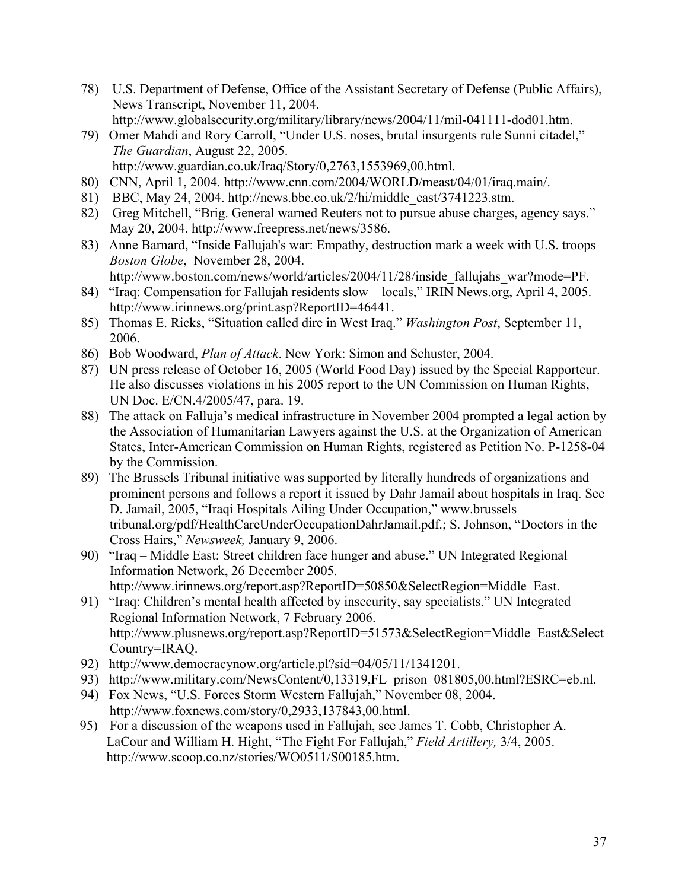- 78) U.S. Department of Defense, Office of the Assistant Secretary of Defense (Public Affairs), News Transcript, November 11, 2004. [http://www.globalsecurity.org/military/library/news/2004/11/mil-041111-dod01.htm.](http://www.globalsecurity.org/military/library/news/2004/11/mil-041111-dod01.htm)
- 79) Omer Mahdi and Rory Carroll, "Under U.S. noses, brutal insurgents rule Sunni citadel," *The Guardian*, August 22, 2005.
	- [http://www.guardian.co.uk/Iraq/Story/0,2763,1553969,00.html.](http://www.guardian.co.uk/Iraq/Story/0,2763,1553969,00.html)
- 80) CNN, April 1, 2004. [http://www.cnn.com/2004/WORLD/meast/04/01/iraq.main/.](http://www.cnn.com/2004/WORLD/meast/04/01/iraq.main/)
- 81) BBC, May 24, 2004. [http://news.bbc.co.uk/2/hi/middle\\_east/3741223.stm.](http://news.bbc.co.uk/2/hi/middle_east/3741223.stm)
- 82) Greg Mitchell, "Brig. General warned Reuters not to pursue abuse charges, agency says." May 20, 2004. [http://www.freepress.net/news/3586.](http://www.freepress.net/news/3586)
- 83) Anne Barnard, "Inside Fallujah's war: Empathy, destruction mark a week with U.S. troops *Boston Globe*, November 28, 2004.
	- http://www.boston.com/news/world/articles/2004/11/28/inside fallujahs war?mode=PF.
- 84) "Iraq: Compensation for Fallujah residents slow locals," IRIN News.org, April 4, 2005. [http://www.irinnews.org/print.asp?ReportID=46441.](http://www.irinnews.org/print.asp?ReportID=46441)
- 85) Thomas E. Ricks, "Situation called dire in West Iraq." *Washington Post*, September 11, 2006.
- 86) Bob Woodward, *Plan of Attack*. New York: Simon and Schuster, 2004.
- 87) UN press release of October 16, 2005 (World Food Day) issued by the Special Rapporteur. He also discusses violations in his 2005 report to the UN Commission on Human Rights, UN Doc. E/CN.4/2005/47, para. 19.
- 88) The attack on Falluja's medical infrastructure in November 2004 prompted a legal action by the Association of Humanitarian Lawyers against the U.S. at the Organization of American States, Inter-American Commission on Human Rights, registered as Petition No. P-1258-04 by the Commission.
- 89) The Brussels Tribunal initiative was supported by literally hundreds of organizations and prominent persons and follows a report it issued by Dahr Jamail about hospitals in Iraq. See D. Jamail, 2005, "Iraqi Hospitals Ailing Under Occupation," www.brussels tribunal.org/pdf/HealthCareUnderOccupationDahrJamail.pdf.; S. Johnson, "Doctors in the Cross Hairs," *Newsweek,* January 9, 2006.
- 90) "Iraq Middle East: Street children face hunger and abuse." UN Integrated Regional Information Network, 26 December 2005. [http://www.irinnews.org/report.asp?ReportID=50850&SelectRegion=Middle\\_East.](http://www.irinnews.org/report.asp?ReportID=50850&SelectRegion=Middle_East)
- 91) "Iraq: Children's mental health affected by insecurity, say specialists." UN Integrated Regional Information Network, 7 February 2006. [http://www.plusnews.org/report.asp?ReportID=51573&SelectRegion=Middle\\_East&Select](http://www.plusnews.org/report.asp?ReportID=51573&SelectRegion=Middle_East&Select) Country=IRAQ.
- 92) [http://www.democracynow.org/article.pl?sid=04/05/11/1341201.](http://www.democracynow.org/article.pl?sid=04/05/11/1341201)
- 93) [http://www.military.com/NewsContent/0,13319,FL\\_prison\\_081805,00.html?ESRC=eb.nl.](http://www.military.com/NewsContent/0,13319,FL_prison_081805,00.html?ESRC=eb.nl)
- 94) Fox News, "U.S. Forces Storm Western Fallujah," November 08, 2004.
- [http://www.foxnews.com/story/0,2933,137843,00.html.](http://www.foxnews.com/story/0,2933,137843,00.html)
- 95) For a discussion of the weapons used in Fallujah, see James T. Cobb, Christopher A. LaCour and William H. Hight, "The Fight For Fallujah," *Field Artillery,* 3/4, 2005. <http://www.scoop.co.nz/stories/WO0511/S00185.htm.>